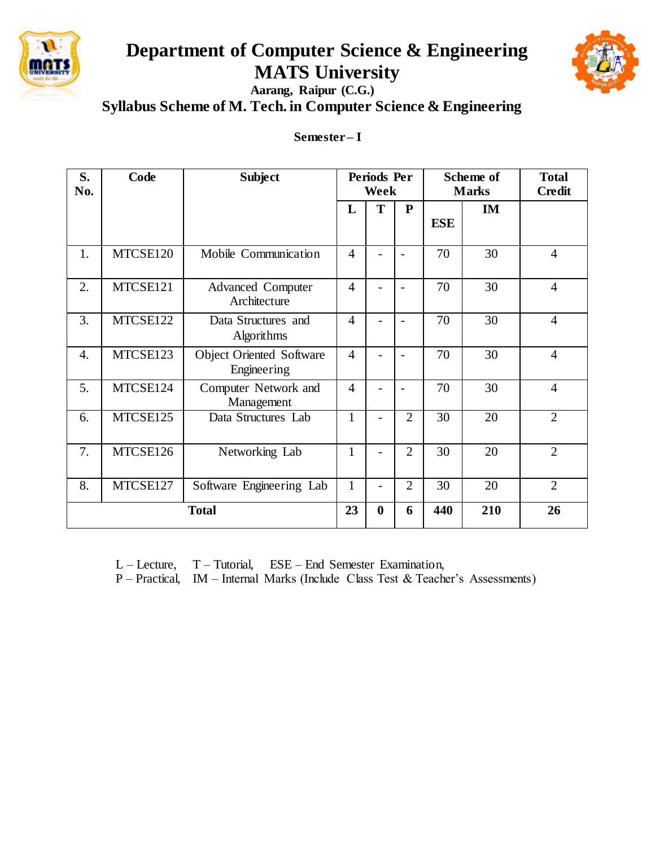

# **Department of Computer Science & Engineering MATS University**



**Aarang, Raipur (C.G.) Syllabus Scheme of M. Tech. in Computer Science & Engineering**

## **Semester – I**

| S.<br>No.    | Code     | <b>Subject</b>                                 | Periods Per<br>Week |          |                |            | Scheme of<br><b>Marks</b> | <b>Total</b><br><b>Credit</b> |
|--------------|----------|------------------------------------------------|---------------------|----------|----------------|------------|---------------------------|-------------------------------|
|              |          |                                                | L                   | T        | ${\bf P}$      | <b>ESE</b> | IM                        |                               |
| 1.           | MTCSE120 | Mobile Communication                           | $\overline{4}$      |          |                | 70         | 30                        | $\overline{4}$                |
| 2.           | MTCSE121 | <b>Advanced Computer</b><br>Architecture       | $\overline{4}$      |          |                | 70         | 30                        | $\overline{4}$                |
| 3.           | MTCSE122 | Data Structures and<br>Algorithms              | $\overline{4}$      |          |                | 70         | 30                        | $\overline{4}$                |
| 4.           | MTCSE123 | <b>Object Oriented Software</b><br>Engineering | $\overline{4}$      |          |                | 70         | 30                        | $\overline{4}$                |
| 5.           | MTCSE124 | Computer Network and<br>Management             | $\overline{4}$      |          |                | 70         | 30                        | $\overline{4}$                |
| 6.           | MTCSE125 | Data Structures Lab                            | $\mathbf{1}$        |          | $\overline{2}$ | 30         | 20                        | $\overline{2}$                |
| 7.           | MTCSE126 | Networking Lab                                 | $\mathbf{1}$        |          | $\overline{2}$ | 30         | 20                        | $\overline{2}$                |
| 8.           | MTCSE127 | Software Engineering Lab                       | $\mathbf{1}$        |          | $\overline{2}$ | 30         | 20                        | $\overline{2}$                |
| <b>Total</b> |          |                                                | 23                  | $\bf{0}$ | 6              | 440        | 210                       | 26                            |

L – Lecture, T – Tutorial, ESE – End Semester Examination,

P – Practical, IM – Internal Marks (Include Class Test & Teacher's Assessments)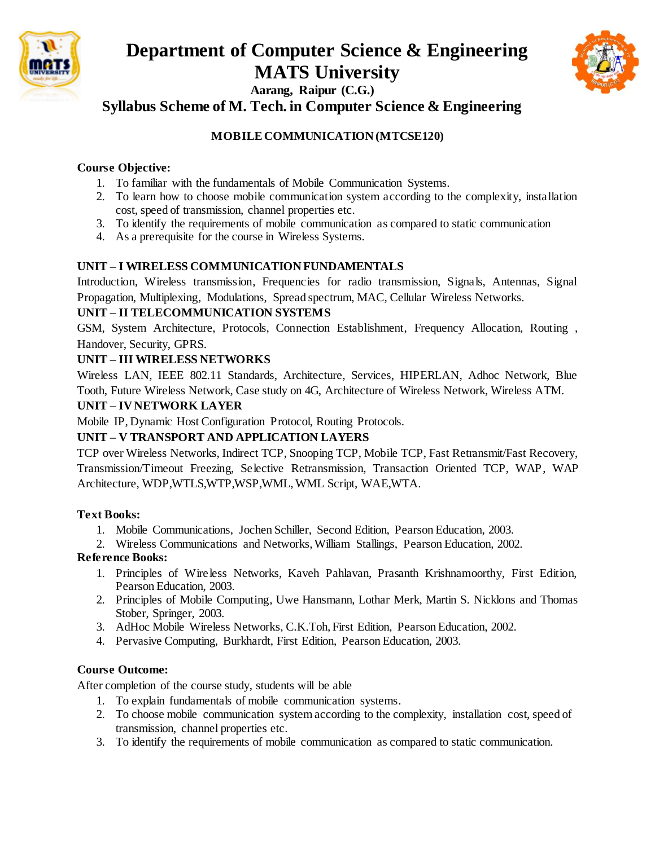



**Syllabus Scheme of M. Tech. in Computer Science & Engineering**

## **MOBILE COMMUNICATION (MTCSE120)**

## **Course Objective:**

- 1. To familiar with the fundamentals of Mobile Communication Systems.
- 2. To learn how to choose mobile communication system according to the complexity, installation cost, speed of transmission, channel properties etc.
- 3. To identify the requirements of mobile communication as compared to static communication
- 4. As a prerequisite for the course in Wireless Systems.

## **UNIT – I WIRELESS COMMUNICATION FUNDAMENTALS**

Introduction, Wireless transmission, Frequencies for radio transmission, Signals, Antennas, Signal Propagation, Multiplexing, Modulations, Spread spectrum, MAC, Cellular Wireless Networks.

## **UNIT – II TELECOMMUNICATION SYSTEMS**

GSM, System Architecture, Protocols, Connection Establishment, Frequency Allocation, Routing , Handover, Security, GPRS.

## **UNIT – III WIRELESS NETWORKS**

Wireless LAN, IEEE 802.11 Standards, Architecture, Services, HIPERLAN, Adhoc Network, Blue Tooth, Future Wireless Network, Case study on 4G, Architecture of Wireless Network, Wireless ATM.

## **UNIT – IV NETWORK LAYER**

Mobile IP, Dynamic Host Configuration Protocol, Routing Protocols.

## **UNIT – V TRANSPORT AND APPLICATION LAYERS**

TCP over Wireless Networks, Indirect TCP, Snooping TCP, Mobile TCP, Fast Retransmit/Fast Recovery, Transmission/Timeout Freezing, Selective Retransmission, Transaction Oriented TCP, WAP, WAP Architecture, WDP,WTLS,WTP,WSP,WML, WML Script, WAE,WTA.

## **Text Books:**

1. Mobile Communications, Jochen Schiller, Second Edition, Pearson Education, 2003.

2. Wireless Communications and Networks, William Stallings, Pearson Education, 2002.

## **Reference Books:**

- 1. Principles of Wireless Networks, Kaveh Pahlavan, Prasanth Krishnamoorthy, First Edition, Pearson Education, 2003.
- 2. Principles of Mobile Computing, Uwe Hansmann, Lothar Merk, Martin S. Nicklons and Thomas Stober, Springer, 2003.
- 3. AdHoc Mobile Wireless Networks, C.K.Toh, First Edition, Pearson Education, 2002.
- 4. Pervasive Computing, Burkhardt, First Edition, Pearson Education, 2003.

## **Course Outcome:**

- 1. To explain fundamentals of mobile communication systems.
- 2. To choose mobile communication system according to the complexity, installation cost, speed of transmission, channel properties etc.
- 3. To identify the requirements of mobile communication as compared to static communication.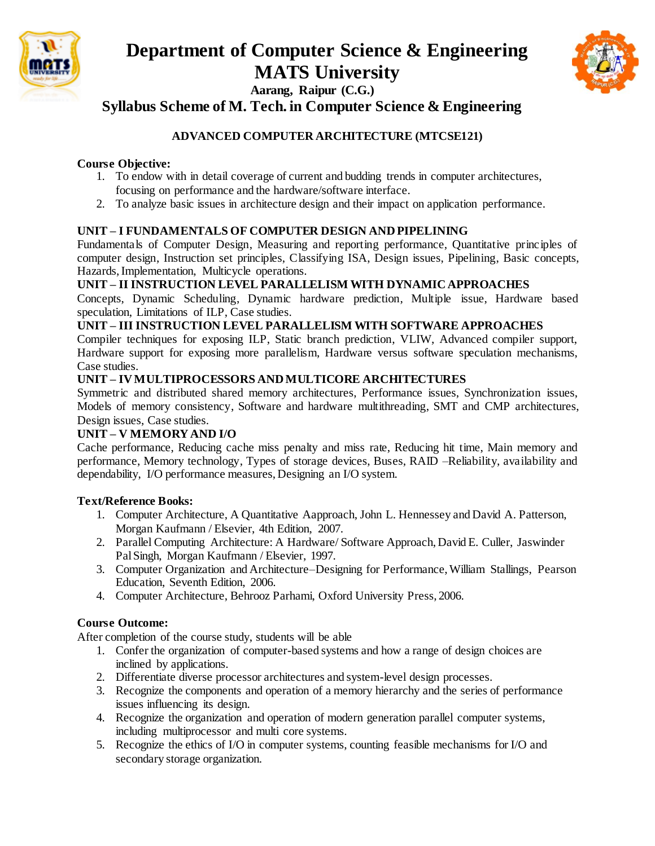



**Syllabus Scheme of M. Tech. in Computer Science & Engineering**

## **ADVANCED COMPUTER ARCHITECTURE (MTCSE121)**

#### **Course Objective:**

- 1. To endow with in detail coverage of current and budding trends in computer architectures, focusing on performance and the hardware/software interface.
- 2. To analyze basic issues in architecture design and their impact on application performance.

#### **UNIT – I FUNDAMENTALS OF COMPUTER DESIGN AND PIPELINING**

Fundamentals of Computer Design, Measuring and reporting performance, Quantitative principles of computer design, Instruction set principles, Classifying ISA, Design issues, Pipelining, Basic concepts, Hazards, Implementation, Multicycle operations.

#### **UNIT – II INSTRUCTION LEVEL PARALLELISM WITH DYNAMIC APPROACHES**

Concepts, Dynamic Scheduling, Dynamic hardware prediction, Multiple issue, Hardware based speculation, Limitations of ILP, Case studies.

#### **UNIT – III INSTRUCTION LEVEL PARALLELISM WITH SOFTWARE APPROACHES**

Compiler techniques for exposing ILP, Static branch prediction, VLIW, Advanced compiler support, Hardware support for exposing more parallelism, Hardware versus software speculation mechanisms, Case studies.

#### **UNIT – IV MULTIPROCESSORS AND MULTICORE ARCHITECTURES**

Symmetric and distributed shared memory architectures, Performance issues, Synchronization issues, Models of memory consistency, Software and hardware multithreading, SMT and CMP architectures, Design issues, Case studies.

## **UNIT – V MEMORY AND I/O**

Cache performance, Reducing cache miss penalty and miss rate, Reducing hit time, Main memory and performance, Memory technology, Types of storage devices, Buses, RAID –Reliability, availability and dependability, I/O performance measures, Designing an I/O system.

#### **Text/Reference Books:**

- 1. Computer Architecture, A Quantitative Aapproach, John L. Hennessey and David A. Patterson, Morgan Kaufmann / Elsevier, 4th Edition, 2007.
- 2. Parallel Computing Architecture: A Hardware/ Software Approach, David E. Culler, Jaswinder Pal Singh, Morgan Kaufmann / Elsevier, 1997.
- 3. Computer Organization and Architecture–Designing for Performance, William Stallings, Pearson Education, Seventh Edition, 2006.
- 4. Computer Architecture, Behrooz Parhami, Oxford University Press, 2006.

#### **Course Outcome:**

- 1. Confer the organization of computer-based systems and how a range of design choices are inclined by applications.
- 2. Differentiate diverse processor architectures and system-level design processes.
- 3. Recognize the components and operation of a memory hierarchy and the series of performance issues influencing its design.
- 4. Recognize the organization and operation of modern generation parallel computer systems, including multiprocessor and multi core systems.
- 5. Recognize the ethics of I/O in computer systems, counting feasible mechanisms for I/O and secondary storage organization.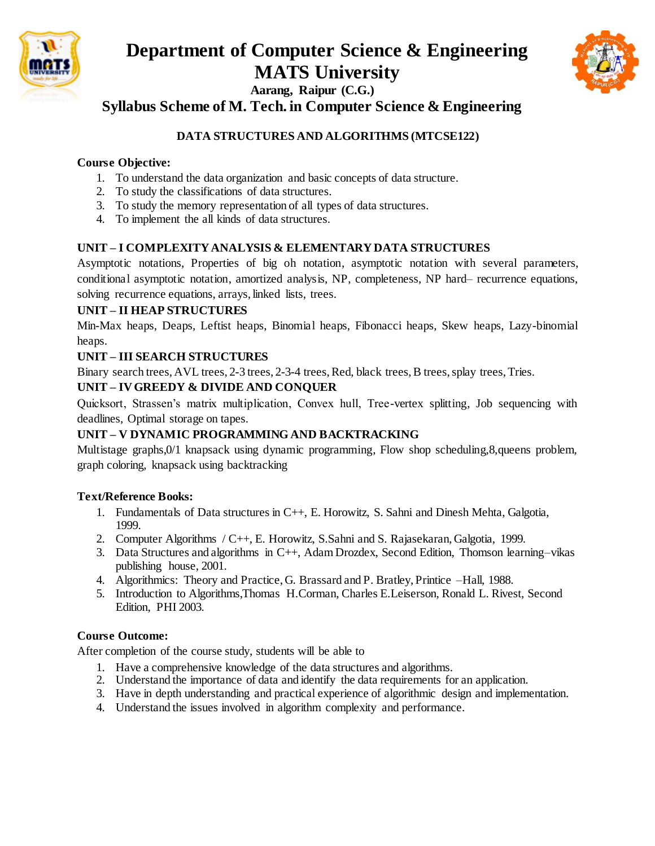



**Syllabus Scheme of M. Tech. in Computer Science & Engineering**

## **DATA STRUCTURES AND ALGORITHMS (MTCSE122)**

#### **Course Objective:**

- 1. To understand the data organization and basic concepts of data structure.
- 2. To study the classifications of data structures.
- 3. To study the memory representation of all types of data structures.
- 4. To implement the all kinds of data structures.

## **UNIT – I COMPLEXITY ANALYSIS & ELEMENTARY DATA STRUCTURES**

Asymptotic notations, Properties of big oh notation, asymptotic notation with several parameters, conditional asymptotic notation, amortized analysis, NP, completeness, NP hard– recurrence equations, solving recurrence equations, arrays, linked lists, trees.

#### **UNIT – II HEAP STRUCTURES**

Min-Max heaps, Deaps, Leftist heaps, Binomial heaps, Fibonacci heaps, Skew heaps, Lazy-binomial heaps.

#### **UNIT – III SEARCH STRUCTURES**

Binary search trees, AVL trees, 2-3 trees, 2-3-4 trees, Red, black trees, B trees, splay trees, Tries.

## **UNIT – IV GREEDY & DIVIDE AND CONQUER**

Quicksort, Strassen's matrix multiplication, Convex hull, Tree-vertex splitting, Job sequencing with deadlines, Optimal storage on tapes.

## **UNIT – V DYNAMIC PROGRAMMING AND BACKTRACKING**

Multistage graphs,0/1 knapsack using dynamic programming, Flow shop scheduling,8,queens problem, graph coloring, knapsack using backtracking

#### **Text/Reference Books:**

- 1. Fundamentals of Data structures in C++, E. Horowitz, S. Sahni and Dinesh Mehta, Galgotia, 1999.
- 2. Computer Algorithms / C++, E. Horowitz, S.Sahni and S. Rajasekaran, Galgotia, 1999.
- 3. Data Structures and algorithms in C++, Adam Drozdex, Second Edition, Thomson learning–vikas publishing house, 2001.
- 4. Algorithmics: Theory and Practice, G. Brassard and P. Bratley, Printice –Hall, 1988.
- 5. Introduction to Algorithms,Thomas H.Corman, Charles E.Leiserson, Ronald L. Rivest, Second Edition, PHI 2003.

## **Course Outcome:**

- 1. Have a comprehensive knowledge of the data structures and algorithms.
- 2. Understand the importance of data and identify the data requirements for an application.
- 3. Have in depth understanding and practical experience of algorithmic design and implementation.
- 4. Understand the issues involved in algorithm complexity and performance.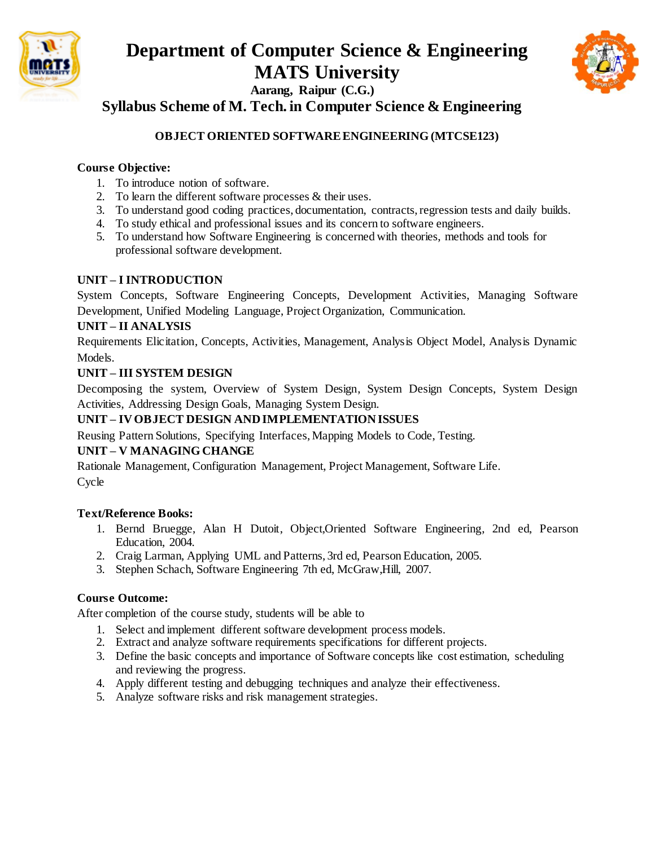



**Syllabus Scheme of M. Tech. in Computer Science & Engineering**

## **OBJECT ORIENTED SOFTWARE ENGINEERING (MTCSE123)**

#### **Course Objective:**

- 1. To introduce notion of software.
- 2. To learn the different software processes & their uses.
- 3. To understand good coding practices, documentation, contracts, regression tests and daily builds.
- 4. To study ethical and professional issues and its concern to software engineers.
- 5. To understand how Software Engineering is concerned with theories, methods and tools for professional software development.

#### **UNIT – I INTRODUCTION**

System Concepts, Software Engineering Concepts, Development Activities, Managing Software Development, Unified Modeling Language, Project Organization, Communication.

#### **UNIT – II ANALYSIS**

Requirements Elicitation, Concepts, Activities, Management, Analysis Object Model, Analysis Dynamic Models.

#### **UNIT – III SYSTEM DESIGN**

Decomposing the system, Overview of System Design, System Design Concepts, System Design Activities, Addressing Design Goals, Managing System Design.

#### **UNIT – IV OBJECT DESIGN AND IMPLEMENTATION ISSUES**

Reusing Pattern Solutions, Specifying Interfaces, Mapping Models to Code, Testing.

#### **UNIT – V MANAGING CHANGE**

Rationale Management, Configuration Management, Project Management, Software Life. Cycle

#### **Text/Reference Books:**

- 1. Bernd Bruegge, Alan H Dutoit, Object,Oriented Software Engineering, 2nd ed, Pearson Education, 2004.
- 2. Craig Larman, Applying UML and Patterns, 3rd ed, Pearson Education, 2005.
- 3. Stephen Schach, Software Engineering 7th ed, McGraw,Hill, 2007.

#### **Course Outcome:**

- 1. Select and implement different software development process models.
- 2. Extract and analyze software requirements specifications for different projects.
- 3. Define the basic concepts and importance of Software concepts like cost estimation, scheduling and reviewing the progress.
- 4. Apply different testing and debugging techniques and analyze their effectiveness.
- 5. Analyze software risks and risk management strategies.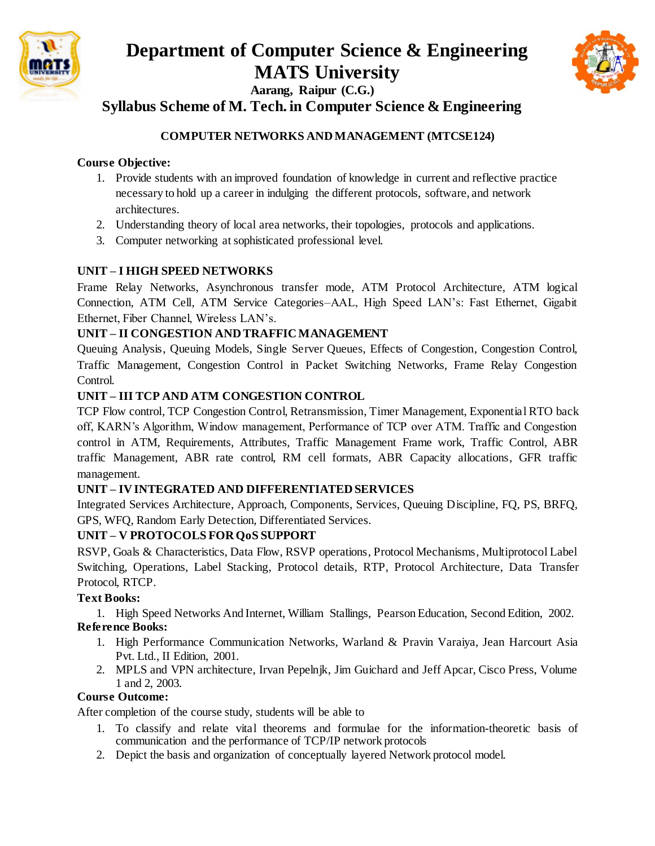



## **Syllabus Scheme of M. Tech. in Computer Science & Engineering**

## **COMPUTER NETWORKS AND MANAGEMENT (MTCSE124)**

### **Course Objective:**

- 1. Provide students with an improved foundation of knowledge in current and reflective practice necessary to hold up a career in indulging the different protocols, software, and network architectures.
- 2. Understanding theory of local area networks, their topologies, protocols and applications.
- 3. Computer networking at sophisticated professional level.

#### **UNIT – I HIGH SPEED NETWORKS**

Frame Relay Networks, Asynchronous transfer mode, ATM Protocol Architecture, ATM logical Connection, ATM Cell, ATM Service Categories–AAL, High Speed LAN's: Fast Ethernet, Gigabit Ethernet, Fiber Channel, Wireless LAN's.

#### **UNIT – II CONGESTION AND TRAFFIC MANAGEMENT**

Queuing Analysis, Queuing Models, Single Server Queues, Effects of Congestion, Congestion Control, Traffic Management, Congestion Control in Packet Switching Networks, Frame Relay Congestion Control.

#### **UNIT – III TCP AND ATM CONGESTION CONTROL**

TCP Flow control, TCP Congestion Control, Retransmission, Timer Management, Exponential RTO back off, KARN's Algorithm, Window management, Performance of TCP over ATM. Traffic and Congestion control in ATM, Requirements, Attributes, Traffic Management Frame work, Traffic Control, ABR traffic Management, ABR rate control, RM cell formats, ABR Capacity allocations, GFR traffic management.

## **UNIT – IV INTEGRATED AND DIFFERENTIATED SERVICES**

Integrated Services Architecture, Approach, Components, Services, Queuing Discipline, FQ, PS, BRFQ, GPS, WFQ, Random Early Detection, Differentiated Services.

#### **UNIT – V PROTOCOLS FOR QoS SUPPORT**

RSVP, Goals & Characteristics, Data Flow, RSVP operations, Protocol Mechanisms, Multiprotocol Label Switching, Operations, Label Stacking, Protocol details, RTP, Protocol Architecture, Data Transfer Protocol, RTCP.

#### **Text Books:**

1. High Speed Networks And Internet, William Stallings, Pearson Education, Second Edition, 2002. **Reference Books:**

- 1. High Performance Communication Networks, Warland & Pravin Varaiya, Jean Harcourt Asia Pvt. Ltd., II Edition, 2001.
- 2. MPLS and VPN architecture, Irvan Pepelnjk, Jim Guichard and Jeff Apcar, Cisco Press, Volume 1 and 2, 2003.

#### **Course Outcome:**

- 1. To classify and relate vital theorems and formulae for the information-theoretic basis of communication and the performance of TCP/IP network protocols
- 2. Depict the basis and organization of conceptually layered Network protocol model.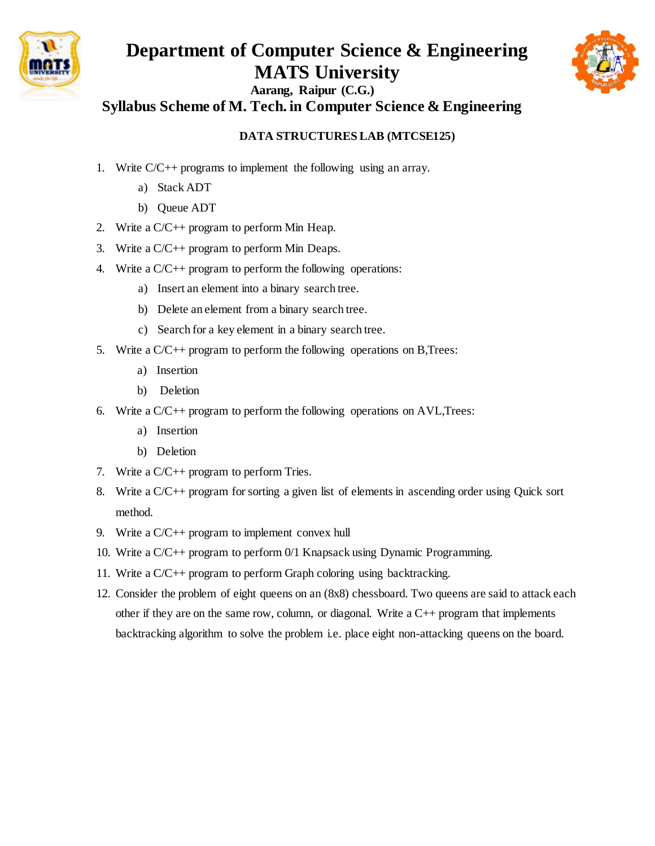

# **Department of Computer Science & Engineering MATS University**



**Aarang, Raipur (C.G.) Syllabus Scheme of M. Tech. in Computer Science & Engineering**

## **DATA STRUCTURES LAB (MTCSE125)**

- 1. Write C/C++ programs to implement the following using an array.
	- a) Stack ADT
	- b) Queue ADT
- 2. Write a  $C/C++$  program to perform Min Heap.
- 3. Write a C/C++ program to perform Min Deaps.
- 4. Write a C/C++ program to perform the following operations:
	- a) Insert an element into a binary search tree.
	- b) Delete an element from a binary search tree.
	- c) Search for a key element in a binary search tree.
- 5. Write a C/C++ program to perform the following operations on B,Trees:
	- a) Insertion
	- b) Deletion
- 6. Write a  $C/C$ ++ program to perform the following operations on AVL, Trees:
	- a) Insertion
	- b) Deletion
- 7. Write a C/C++ program to perform Tries.
- 8. Write a C/C++ program for sorting a given list of elements in ascending order using Quick sort method.
- 9. Write a C/C++ program to implement convex hull
- 10. Write a C/C++ program to perform 0/1 Knapsack using Dynamic Programming.
- 11. Write a C/C++ program to perform Graph coloring using backtracking.
- 12. Consider the problem of eight queens on an (8x8) chessboard. Two queens are said to attack each other if they are on the same row, column, or diagonal. Write a  $C++$  program that implements backtracking algorithm to solve the problem i.e. place eight non-attacking queens on the board.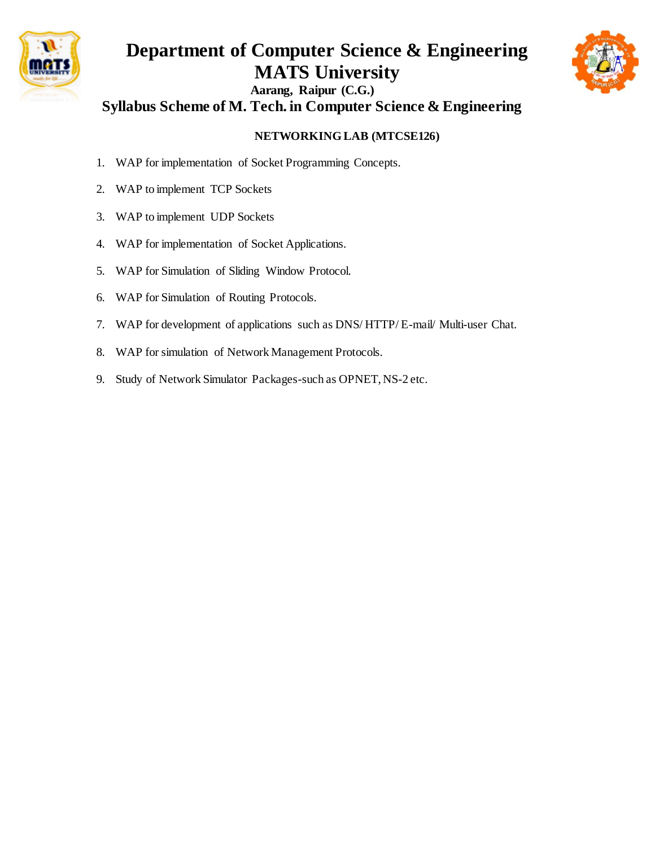

## **Department of Computer Science & Engineering MATS University Aarang, Raipur (C.G.) Syllabus Scheme of M. Tech. in Computer Science & Engineering**



## **NETWORKING LAB (MTCSE126)**

- 1. WAP for implementation of Socket Programming Concepts.
- 2. WAP to implement TCP Sockets
- 3. WAP to implement UDP Sockets
- 4. WAP for implementation of Socket Applications.
- 5. WAP for Simulation of Sliding Window Protocol.
- 6. WAP for Simulation of Routing Protocols.
- 7. WAP for development of applications such as DNS/ HTTP/ E-mail/ Multi-user Chat.
- 8. WAP for simulation of Network Management Protocols.
- 9. Study of Network Simulator Packages-such as OPNET, NS-2 etc.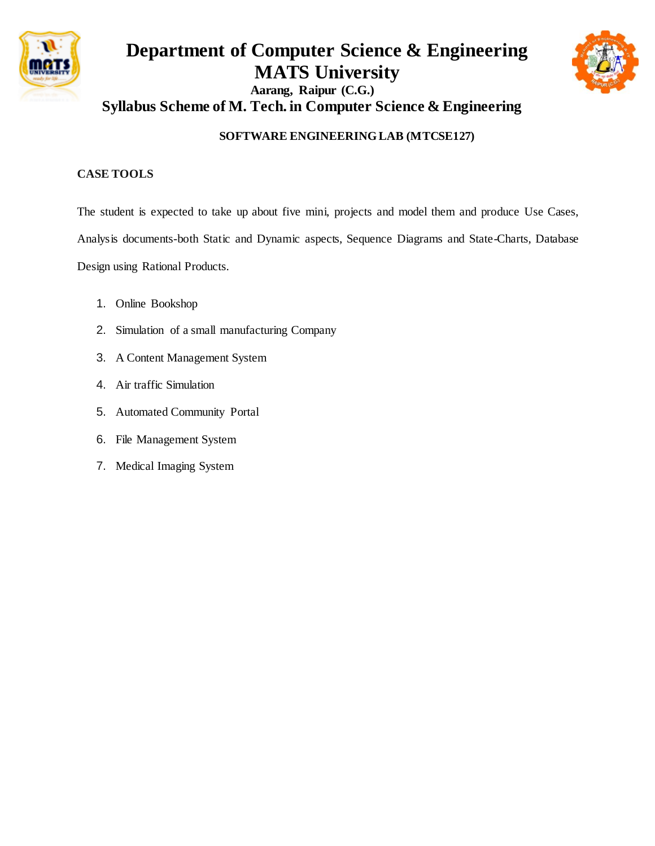

## **Department of Computer Science & Engineering MATS University Aarang, Raipur (C.G.) Syllabus Scheme of M. Tech. in Computer Science & Engineering**



## **SOFTWARE ENGINEERING LAB (MTCSE127)**

### **CASE TOOLS**

The student is expected to take up about five mini, projects and model them and produce Use Cases, Analysis documents-both Static and Dynamic aspects, Sequence Diagrams and State-Charts, Database Design using Rational Products.

- 1. Online Bookshop
- 2. Simulation of a small manufacturing Company
- 3. A Content Management System
- 4. Air traffic Simulation
- 5. Automated Community Portal
- 6. File Management System
- 7. Medical Imaging System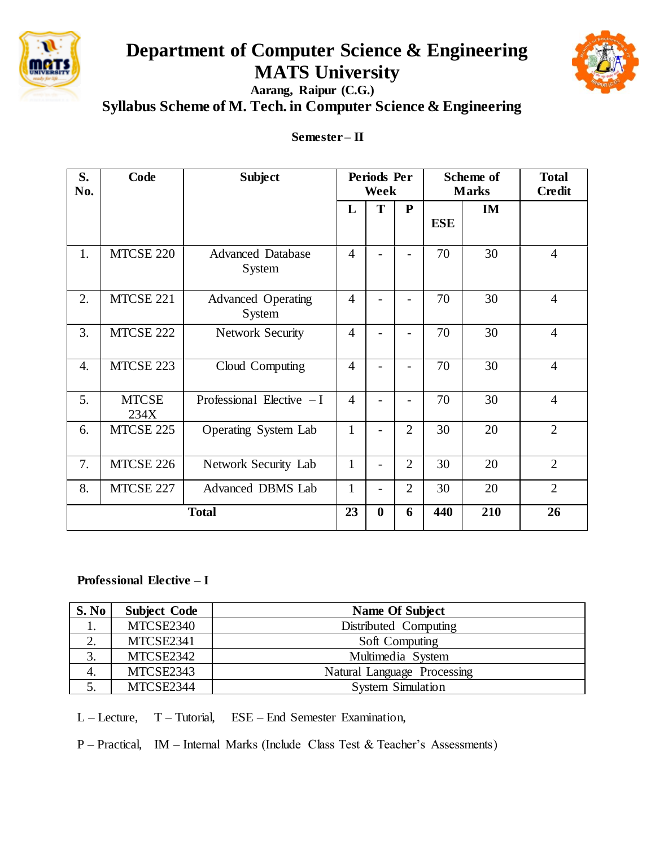

# **Department of Computer Science & Engineering MATS University**



**Aarang, Raipur (C.G.) Syllabus Scheme of M. Tech. in Computer Science & Engineering**

## **Semester – II**

| S.<br>No.    | Code                 | <b>Subject</b>                      | <b>Periods Per</b><br>Week |          |                |            | Scheme of<br><b>Marks</b> | <b>Total</b><br><b>Credit</b> |
|--------------|----------------------|-------------------------------------|----------------------------|----------|----------------|------------|---------------------------|-------------------------------|
|              |                      |                                     | L                          | T        | ${\bf P}$      | <b>ESE</b> | <b>IM</b>                 |                               |
| 1.           | MTCSE 220            | <b>Advanced Database</b><br>System  | $\overline{4}$             |          |                | 70         | 30                        | $\overline{4}$                |
| 2.           | MTCSE 221            | <b>Advanced Operating</b><br>System | $\overline{4}$             |          |                | 70         | 30                        | $\overline{4}$                |
| 3.           | MTCSE 222            | <b>Network Security</b>             | $\overline{4}$             |          |                | 70         | 30                        | $\overline{4}$                |
| 4.           | MTCSE 223            | Cloud Computing                     | $\overline{4}$             |          |                | 70         | 30                        | $\overline{4}$                |
| 5.           | <b>MTCSE</b><br>234X | Professional Elective $-I$          | $\overline{4}$             |          |                | 70         | 30                        | $\overline{4}$                |
| 6.           | MTCSE 225            | Operating System Lab                | $\mathbf{1}$               |          | $\overline{2}$ | 30         | 20                        | $\overline{2}$                |
| 7.           | MTCSE 226            | Network Security Lab                | $\mathbf{1}$               |          | $\overline{2}$ | 30         | 20                        | $\overline{2}$                |
| 8.           | MTCSE 227            | <b>Advanced DBMS Lab</b>            | $\mathbf{1}$               |          | $\overline{2}$ | 30         | 20                        | $\overline{2}$                |
| <b>Total</b> |                      |                                     | 23                         | $\bf{0}$ | 6              | 440        | 210                       | 26                            |

## **Professional Elective – I**

| S. No              | <b>Subject Code</b> | <b>Name Of Subject</b>      |
|--------------------|---------------------|-----------------------------|
|                    | MTCSE2340           | Distributed Computing       |
| ۷.                 | MTCSE2341           | Soft Computing              |
| $\mathbf{R}$<br>J. | MTCSE2342           | Multimedia System           |
| 4.                 | MTCSE2343           | Natural Language Processing |
|                    | MTCSE2344           | <b>System Simulation</b>    |

L – Lecture, T – Tutorial, ESE – End Semester Examination,

P – Practical, IM – Internal Marks (Include Class Test & Teacher's Assessments)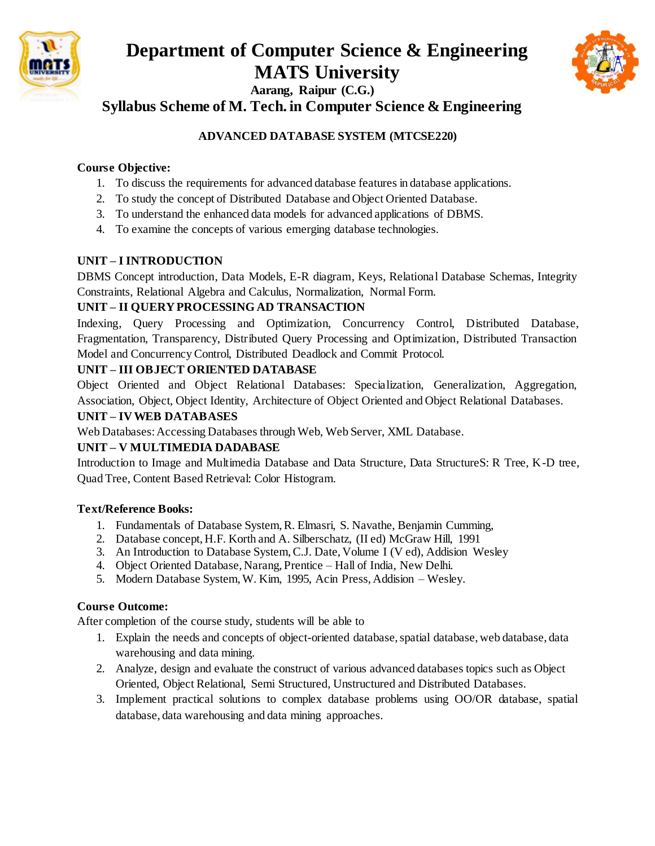



**Syllabus Scheme of M. Tech. in Computer Science & Engineering**

## **ADVANCED DATABASE SYSTEM (MTCSE220)**

## **Course Objective:**

- 1. To discuss the requirements for advanced database features in database applications.
- 2. To study the concept of Distributed Database and Object Oriented Database.
- 3. To understand the enhanced data models for advanced applications of DBMS.
- 4. To examine the concepts of various emerging database technologies.

## **UNIT – I INTRODUCTION**

DBMS Concept introduction, Data Models, E-R diagram, Keys, Relational Database Schemas, Integrity Constraints, Relational Algebra and Calculus, Normalization, Normal Form.

## **UNIT – II QUERY PROCESSING AD TRANSACTION**

Indexing, Query Processing and Optimization, Concurrency Control, Distributed Database, Fragmentation, Transparency, Distributed Query Processing and Optimization, Distributed Transaction Model and Concurrency Control, Distributed Deadlock and Commit Protocol.

## **UNIT – III OBJECT ORIENTED DATABASE**

Object Oriented and Object Relational Databases: Specialization, Generalization, Aggregation, Association, Object, Object Identity, Architecture of Object Oriented and Object Relational Databases.

## **UNIT – IV WEB DATABASES**

Web Databases: Accessing Databases through Web, Web Server, XML Database.

## **UNIT – V MULTIMEDIA DADABASE**

Introduction to Image and Multimedia Database and Data Structure, Data StructureS: R Tree, K-D tree, Quad Tree, Content Based Retrieval: Color Histogram.

## **Text/Reference Books:**

- 1. Fundamentals of Database System, R. Elmasri, S. Navathe, Benjamin Cumming,
- 2. Database concept, H.F. Korth and A. Silberschatz, (II ed) McGraw Hill, 1991
- 3. An Introduction to Database System, C.J. Date, Volume I (V ed), Addision Wesley
- 4. Object Oriented Database, Narang, Prentice Hall of India, New Delhi.
- 5. Modern Database System, W. Kim, 1995, Acin Press, Addision Wesley.

## **Course Outcome:**

- 1. Explain the needs and concepts of object-oriented database, spatial database, web database, data warehousing and data mining.
- 2. Analyze, design and evaluate the construct of various advanced databases topics such as Object Oriented, Object Relational, Semi Structured, Unstructured and Distributed Databases.
- 3. Implement practical solutions to complex database problems using OO/OR database, spatial database, data warehousing and data mining approaches.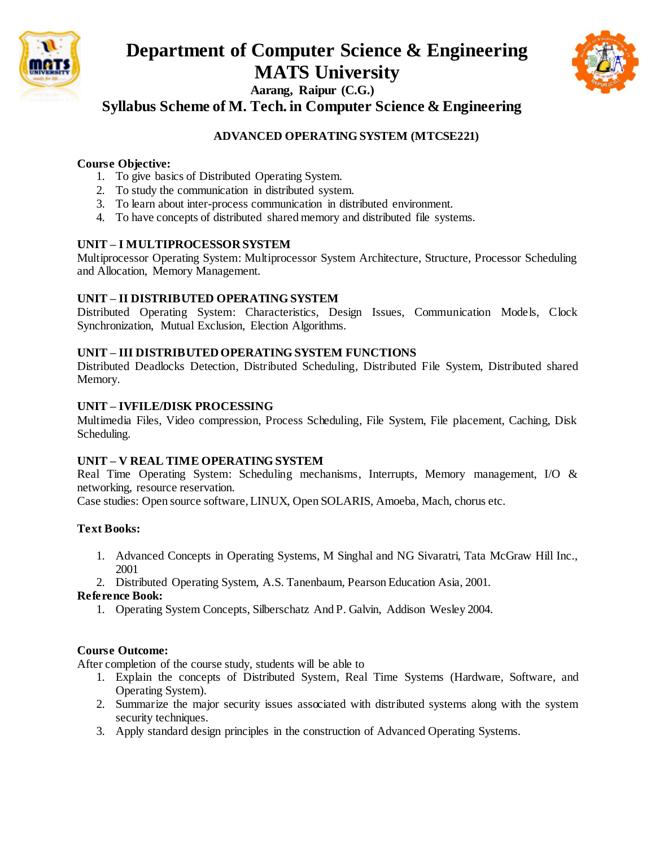



**Syllabus Scheme of M. Tech. in Computer Science & Engineering**

## **ADVANCED OPERATING SYSTEM (MTCSE221)**

#### **Course Objective:**

- 1. To give basics of Distributed Operating System.
- 2. To study the communication in distributed system.
- 3. To learn about inter-process communication in distributed environment.
- 4. To have concepts of distributed shared memory and distributed file systems.

#### **UNIT – I MULTIPROCESSOR SYSTEM**

Multiprocessor Operating System: Multiprocessor System Architecture, Structure, Processor Scheduling and Allocation, Memory Management.

#### **UNIT – II DISTRIBUTED OPERATING SYSTEM**

Distributed Operating System: Characteristics, Design Issues, Communication Models, Clock Synchronization, Mutual Exclusion, Election Algorithms.

#### **UNIT – III DISTRIBUTED OPERATING SYSTEM FUNCTIONS**

Distributed Deadlocks Detection, Distributed Scheduling, Distributed File System, Distributed shared Memory.

#### **UNIT – IVFILE/DISK PROCESSING**

Multimedia Files, Video compression, Process Scheduling, File System, File placement, Caching, Disk Scheduling.

#### **UNIT – V REAL TIME OPERATING SYSTEM**

Real Time Operating System: Scheduling mechanisms, Interrupts, Memory management, I/O & networking, resource reservation.

Case studies: Open source software, LINUX, Open SOLARIS, Amoeba, Mach, chorus etc.

## **Text Books:**

- 1. Advanced Concepts in Operating Systems, M Singhal and NG Sivaratri, Tata McGraw Hill Inc., 2001
- 2. Distributed Operating System, A.S. Tanenbaum, Pearson Education Asia, 2001.

#### **Reference Book:**

1. Operating System Concepts, Silberschatz And P. Galvin, Addison Wesley 2004.

#### **Course Outcome:**

- 1. Explain the concepts of Distributed System, Real Time Systems (Hardware, Software, and Operating System).
- 2. Summarize the major security issues associated with distributed systems along with the system security techniques.
- 3. Apply standard design principles in the construction of Advanced Operating Systems.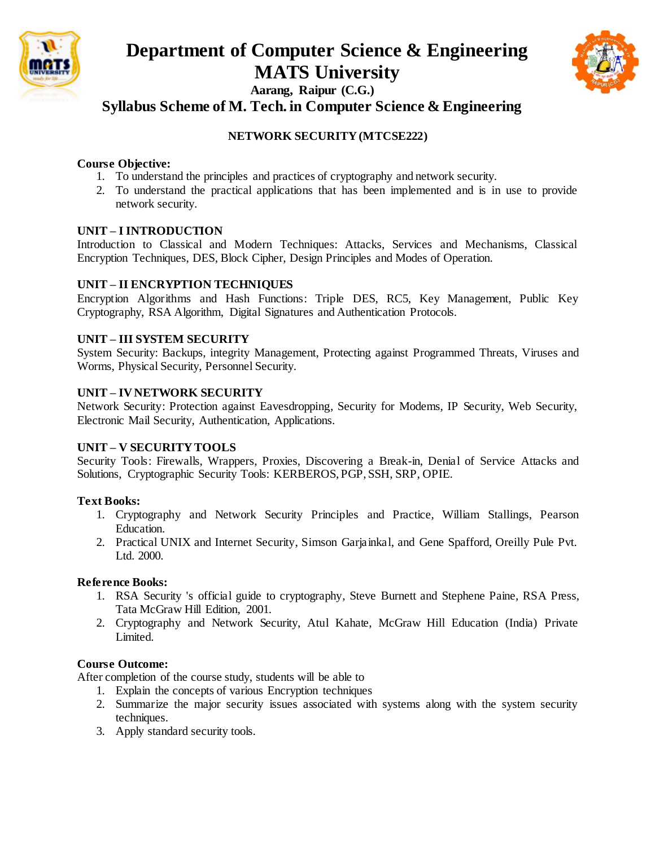

# **Department of Computer Science & Engineering MATS University**



**Aarang, Raipur (C.G.)**

**Syllabus Scheme of M. Tech. in Computer Science & Engineering**

## **NETWORK SECURITY (MTCSE222)**

#### **Course Objective:**

- 1. To understand the principles and practices of cryptography and network security.
- 2. To understand the practical applications that has been implemented and is in use to provide network security.

## **UNIT – I INTRODUCTION**

Introduction to Classical and Modern Techniques: Attacks, Services and Mechanisms, Classical Encryption Techniques, DES, Block Cipher, Design Principles and Modes of Operation.

#### **UNIT – II ENCRYPTION TECHNIQUES**

Encryption Algorithms and Hash Functions: Triple DES, RC5, Key Management, Public Key Cryptography, RSA Algorithm, Digital Signatures and Authentication Protocols.

#### **UNIT – III SYSTEM SECURITY**

System Security: Backups, integrity Management, Protecting against Programmed Threats, Viruses and Worms, Physical Security, Personnel Security.

#### **UNIT – IV NETWORK SECURITY**

Network Security: Protection against Eavesdropping, Security for Modems, IP Security, Web Security, Electronic Mail Security, Authentication, Applications.

#### **UNIT – V SECURITY TOOLS**

Security Tools: Firewalls, Wrappers, Proxies, Discovering a Break-in, Denial of Service Attacks and Solutions, Cryptographic Security Tools: KERBEROS, PGP, SSH, SRP, OPIE.

## **Text Books:**

- 1. Cryptography and Network Security Principles and Practice, William Stallings, Pearson Education.
- 2. Practical UNIX and Internet Security, Simson Garjainkal, and Gene Spafford, Oreilly Pule Pvt. Ltd. 2000.

#### **Reference Books:**

- 1. RSA Security 's official guide to cryptography, Steve Burnett and Stephene Paine, RSA Press, Tata McGraw Hill Edition, 2001.
- 2. Cryptography and Network Security, Atul Kahate, McGraw Hill Education (India) Private Limited.

#### **Course Outcome:**

- 1. Explain the concepts of various Encryption techniques
- 2. Summarize the major security issues associated with systems along with the system security techniques.
- 3. Apply standard security tools.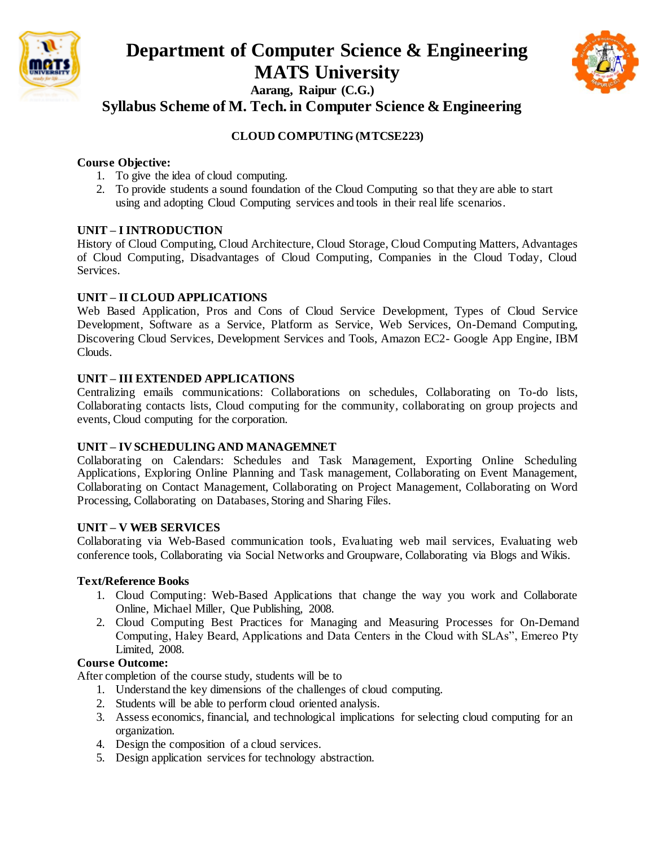



**Syllabus Scheme of M. Tech. in Computer Science & Engineering**

## **CLOUD COMPUTING (MTCSE223)**

#### **Course Objective:**

- 1. To give the idea of cloud computing.
- 2. To provide students a sound foundation of the Cloud Computing so that they are able to start using and adopting Cloud Computing services and tools in their real life scenarios.

#### **UNIT – I INTRODUCTION**

History of Cloud Computing, Cloud Architecture, Cloud Storage, Cloud Computing Matters, Advantages of Cloud Computing, Disadvantages of Cloud Computing, Companies in the Cloud Today, Cloud Services.

#### **UNIT – II CLOUD APPLICATIONS**

Web Based Application, Pros and Cons of Cloud Service Development, Types of Cloud Service Development, Software as a Service, Platform as Service, Web Services, On-Demand Computing, Discovering Cloud Services, Development Services and Tools, Amazon EC2- Google App Engine, IBM Clouds.

#### **UNIT – III EXTENDED APPLICATIONS**

Centralizing emails communications: Collaborations on schedules, Collaborating on To-do lists, Collaborating contacts lists, Cloud computing for the community, collaborating on group projects and events, Cloud computing for the corporation.

#### **UNIT – IV SCHEDULING AND MANAGEMNET**

Collaborating on Calendars: Schedules and Task Management, Exporting Online Scheduling Applications, Exploring Online Planning and Task management, Collaborating on Event Management, Collaborating on Contact Management, Collaborating on Project Management, Collaborating on Word Processing, Collaborating on Databases, Storing and Sharing Files.

#### **UNIT – V WEB SERVICES**

Collaborating via Web-Based communication tools, Evaluating web mail services, Evaluating web conference tools, Collaborating via Social Networks and Groupware, Collaborating via Blogs and Wikis.

#### **Text/Reference Books**

- 1. Cloud Computing: Web-Based Applications that change the way you work and Collaborate Online, Michael Miller, Que Publishing, 2008.
- 2. Cloud Computing Best Practices for Managing and Measuring Processes for On-Demand Computing, Haley Beard, Applications and Data Centers in the Cloud with SLAs", Emereo Pty Limited, 2008.

#### **Course Outcome:**

- 1. Understand the key dimensions of the challenges of cloud computing.
- 2. Students will be able to perform cloud oriented analysis.
- 3. Assess economics, financial, and technological implications for selecting cloud computing for an organization.
- 4. Design the composition of a cloud services.
- 5. Design application services for technology abstraction.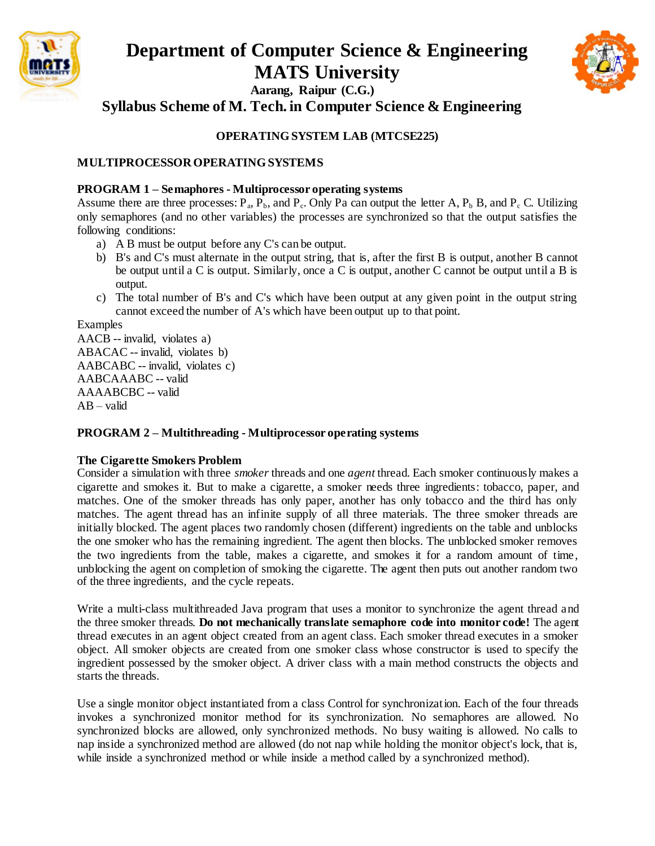



**Syllabus Scheme of M. Tech. in Computer Science & Engineering**

#### **OPERATING SYSTEM LAB (MTCSE225)**

#### **MULTIPROCESSOR OPERATING SYSTEMS**

#### **PROGRAM 1 – Semaphores - Multiprocessor operating systems**

Assume there are three processes:  $P_a$ ,  $P_b$ , and  $P_c$ . Only Pa can output the letter A,  $P_b$  B, and  $P_c$  C. Utilizing only semaphores (and no other variables) the processes are synchronized so that the output satisfies the following conditions:

- a) A B must be output before any C's can be output.
- b) B's and C's must alternate in the output string, that is, after the first B is output, another B cannot be output until a C is output. Similarly, once a C is output, another C cannot be output until a B is output.
- c) The total number of B's and C's which have been output at any given point in the output string cannot exceed the number of A's which have been output up to that point.

Examples

AACB -- invalid, violates a) ABACAC -- invalid, violates b) AABCABC -- invalid, violates c) AABCAAABC -- valid AAAABCBC -- valid  $AB - valid$ 

#### **PROGRAM 2 – Multithreading - Multiprocessor operating systems**

#### **The Cigarette Smokers Problem**

Consider a simulation with three *smoker* threads and one *agent* thread. Each smoker continuously makes a cigarette and smokes it. But to make a cigarette, a smoker needs three ingredients: tobacco, paper, and matches. One of the smoker threads has only paper, another has only tobacco and the third has only matches. The agent thread has an infinite supply of all three materials. The three smoker threads are initially blocked. The agent places two randomly chosen (different) ingredients on the table and unblocks the one smoker who has the remaining ingredient. The agent then blocks. The unblocked smoker removes the two ingredients from the table, makes a cigarette, and smokes it for a random amount of time, unblocking the agent on completion of smoking the cigarette. The agent then puts out another random two of the three ingredients, and the cycle repeats.

Write a multi-class multithreaded Java program that uses a monitor to synchronize the agent thread and the three smoker threads. **Do not mechanically translate semaphore code into monitor code!** The agent thread executes in an agent object created from an agent class. Each smoker thread executes in a smoker object. All smoker objects are created from one smoker class whose constructor is used to specify the ingredient possessed by the smoker object. A driver class with a main method constructs the objects and starts the threads.

Use a single monitor object instantiated from a class Control for synchronization. Each of the four threads invokes a synchronized monitor method for its synchronization. No semaphores are allowed. No synchronized blocks are allowed, only synchronized methods. No busy waiting is allowed. No calls to nap inside a synchronized method are allowed (do not nap while holding the monitor object's lock, that is, while inside a synchronized method or while inside a method called by a synchronized method).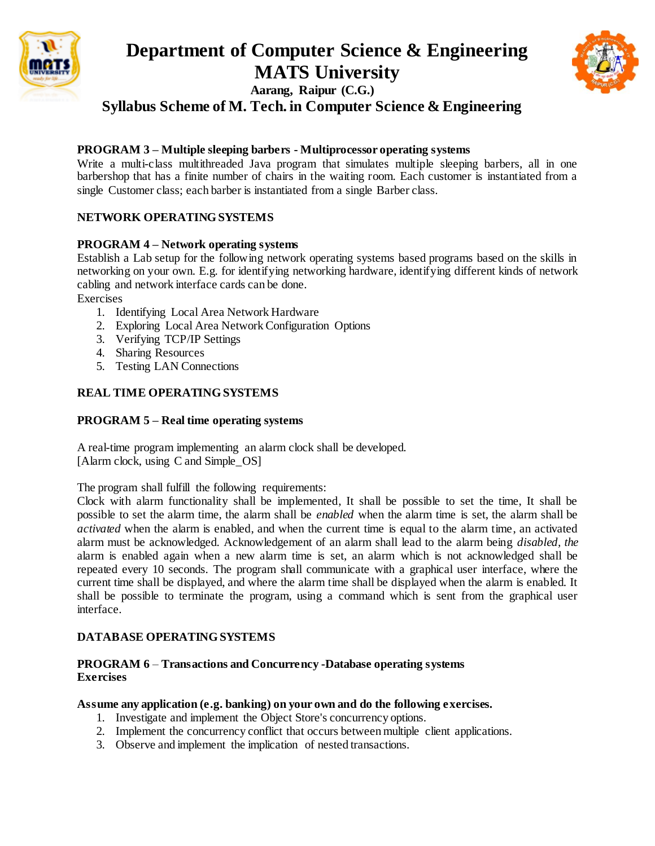

## **Department of Computer Science & Engineering MATS University Aarang, Raipur (C.G.) Syllabus Scheme of M. Tech. in Computer Science & Engineering**



#### **PROGRAM 3 – Multiple sleeping barbers - Multiprocessor operating systems**

Write a multi-class multithreaded Java program that simulates multiple sleeping barbers, all in one barbershop that has a finite number of chairs in the waiting room. Each customer is instantiated from a single Customer class; each barber is instantiated from a single Barber class.

#### **NETWORK OPERATING SYSTEMS**

#### **PROGRAM 4 – Network operating systems**

Establish a Lab setup for the following network operating systems based programs based on the skills in networking on your own. E.g. for identifying networking hardware, identifying different kinds of network cabling and network interface cards can be done.

Exercises

- 1. Identifying Local Area Network Hardware
- 2. Exploring Local Area Network Configuration Options
- 3. Verifying TCP/IP Settings
- 4. Sharing Resources
- 5. Testing LAN Connections

#### **REAL TIME OPERATING SYSTEMS**

#### **PROGRAM 5 – Real time operating systems**

A real-time program implementing an alarm clock shall be developed. [Alarm clock, using C and Simple\_OS]

The program shall fulfill the following requirements:

Clock with alarm functionality shall be implemented, It shall be possible to set the time, It shall be possible to set the alarm time, the alarm shall be *enabled* when the alarm time is set, the alarm shall be *activated* when the alarm is enabled, and when the current time is equal to the alarm time, an activated alarm must be acknowledged. Acknowledgement of an alarm shall lead to the alarm being *disabled, the*  alarm is enabled again when a new alarm time is set, an alarm which is not acknowledged shall be repeated every 10 seconds. The program shall communicate with a graphical user interface, where the current time shall be displayed, and where the alarm time shall be displayed when the alarm is enabled. It shall be possible to terminate the program, using a command which is sent from the graphical user interface.

#### **DATABASE OPERATING SYSTEMS**

#### **PROGRAM 6** – **Transactions and Concurrency -Database operating systems Exercises**

#### **Assume any application (e.g. banking) on your own and do the following exercises.**

- 1. Investigate and implement the Object Store's concurrency options.
- 2. Implement the concurrency conflict that occurs between multiple client applications.
- 3. Observe and implement the implication of nested transactions.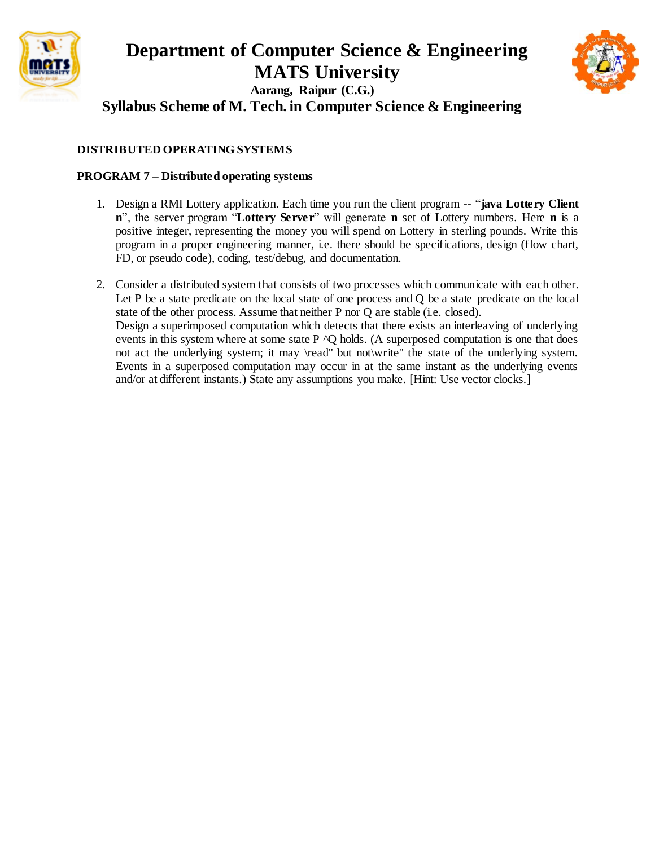



**Syllabus Scheme of M. Tech. in Computer Science & Engineering**

## **DISTRIBUTED OPERATING SYSTEMS**

## **PROGRAM 7 – Distributed operating systems**

- 1. Design a RMI Lottery application. Each time you run the client program -- "**java Lottery Client n**", the server program "**Lottery Server**" will generate **n** set of Lottery numbers. Here **n** is a positive integer, representing the money you will spend on Lottery in sterling pounds. Write this program in a proper engineering manner, i.e. there should be specifications, design (flow chart, FD, or pseudo code), coding, test/debug, and documentation.
- 2. Consider a distributed system that consists of two processes which communicate with each other. Let P be a state predicate on the local state of one process and O be a state predicate on the local state of the other process. Assume that neither P nor Q are stable (i.e. closed). Design a superimposed computation which detects that there exists an interleaving of underlying events in this system where at some state  $P \wedge Q$  holds. (A superposed computation is one that does not act the underlying system; it may \read" but not\write" the state of the underlying system. Events in a superposed computation may occur in at the same instant as the underlying events and/or at different instants.) State any assumptions you make. [Hint: Use vector clocks.]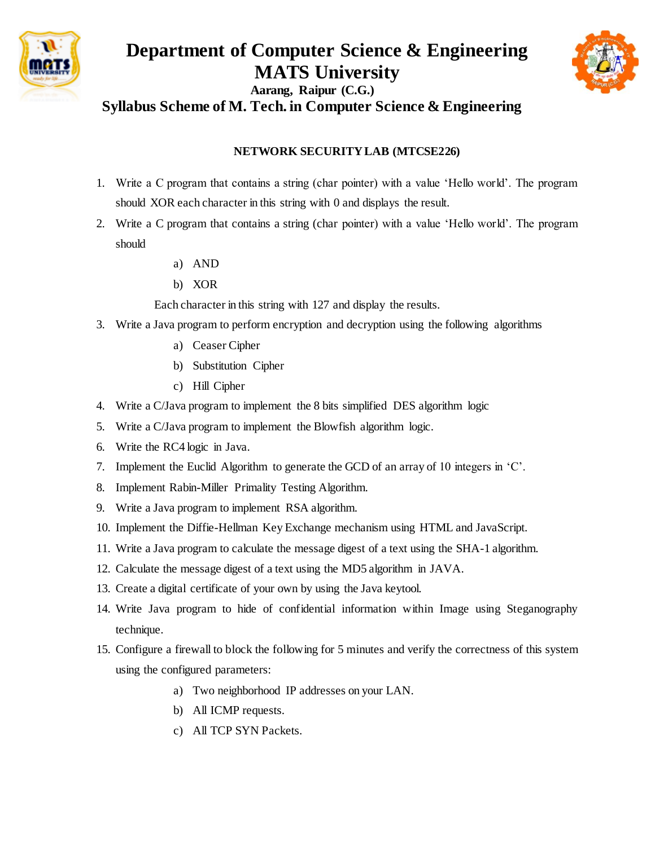

## **Department of Computer Science & Engineering MATS University Aarang, Raipur (C.G.) Syllabus Scheme of M. Tech. in Computer Science & Engineering**



#### **NETWORK SECURITY LAB (MTCSE226)**

- 1. Write a C program that contains a string (char pointer) with a value 'Hello world'. The program should XOR each character in this string with 0 and displays the result.
- 2. Write a C program that contains a string (char pointer) with a value 'Hello world'. The program should
	- a) AND
	- b) XOR

Each character in this string with 127 and display the results.

- 3. Write a Java program to perform encryption and decryption using the following algorithms
	- a) Ceaser Cipher
	- b) Substitution Cipher
	- c) Hill Cipher
- 4. Write a C/Java program to implement the 8 bits simplified DES algorithm logic
- 5. Write a C/Java program to implement the Blowfish algorithm logic.
- 6. Write the RC4 logic in Java.
- 7. Implement the Euclid Algorithm to generate the GCD of an array of 10 integers in 'C'.
- 8. Implement Rabin-Miller Primality Testing Algorithm.
- 9. Write a Java program to implement RSA algorithm.
- 10. Implement the Diffie-Hellman Key Exchange mechanism using HTML and JavaScript.
- 11. Write a Java program to calculate the message digest of a text using the SHA-1 algorithm.
- 12. Calculate the message digest of a text using the MD5 algorithm in JAVA.
- 13. Create a digital certificate of your own by using the Java keytool.
- 14. Write Java program to hide of confidential information within Image using Steganography technique.
- 15. Configure a firewall to block the following for 5 minutes and verify the correctness of this system using the configured parameters:
	- a) Two neighborhood IP addresses on your LAN.
	- b) All ICMP requests.
	- c) All TCP SYN Packets.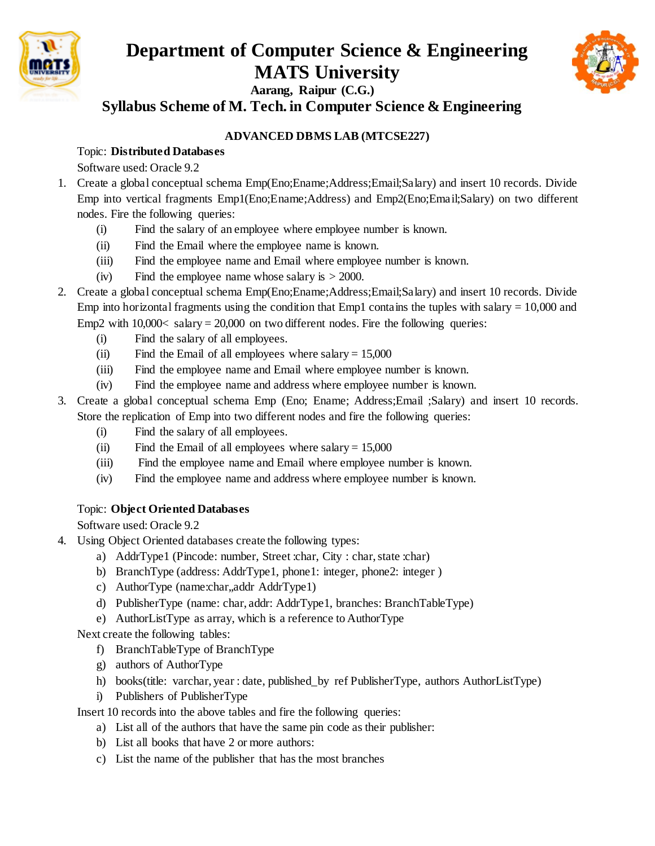



**Syllabus Scheme of M. Tech. in Computer Science & Engineering**

## **ADVANCED DBMS LAB (MTCSE227)**

## Topic: **Distributed Databases**

Software used: Oracle 9.2

- 1. Create a global conceptual schema Emp(Eno;Ename;Address;Email;Salary) and insert 10 records. Divide Emp into vertical fragments Emp1(Eno;Ename;Address) and Emp2(Eno;Email;Salary) on two different nodes. Fire the following queries:
	- (i) Find the salary of an employee where employee number is known.
	- (ii) Find the Email where the employee name is known.
	- (iii) Find the employee name and Email where employee number is known.
	- (iv) Find the employee name whose salary is  $> 2000$ .
- 2. Create a global conceptual schema Emp(Eno;Ename;Address;Email;Salary) and insert 10 records. Divide Emp into horizontal fragments using the condition that Emp1 contains the tuples with salary  $= 10,000$  and Emp2 with  $10,000 \lt s$  salary = 20,000 on two different nodes. Fire the following queries:
	- (i) Find the salary of all employees.
	- (ii) Find the Email of all employees where salary  $= 15,000$
	- (iii) Find the employee name and Email where employee number is known.
	- (iv) Find the employee name and address where employee number is known.
- 3. Create a global conceptual schema Emp (Eno; Ename; Address;Email ;Salary) and insert 10 records. Store the replication of Emp into two different nodes and fire the following queries:
	- (i) Find the salary of all employees.
	- (ii) Find the Email of all employees where salary  $= 15,000$
	- (iii) Find the employee name and Email where employee number is known.
	- (iv) Find the employee name and address where employee number is known.

## Topic: **Object Oriented Databases**

Software used: Oracle 9.2

- 4. Using Object Oriented databases create the following types:
	- a) AddrType1 (Pincode: number, Street :char, City : char, state :char)
	- b) BranchType (address: AddrType1, phone1: integer, phone2: integer)
	- c) AuthorType (name:char,,addr AddrType1)
	- d) PublisherType (name: char, addr: AddrType1, branches: BranchTableType)
	- e) AuthorListType as array, which is a reference to AuthorType

Next create the following tables:

- f) BranchTableType of BranchType
- g) authors of AuthorType
- h) books(title: varchar, year : date, published\_by ref PublisherType, authors AuthorListType)
- i) Publishers of PublisherType

Insert 10 records into the above tables and fire the following queries:

- a) List all of the authors that have the same pin code as their publisher:
- b) List all books that have 2 or more authors:
- c) List the name of the publisher that has the most branches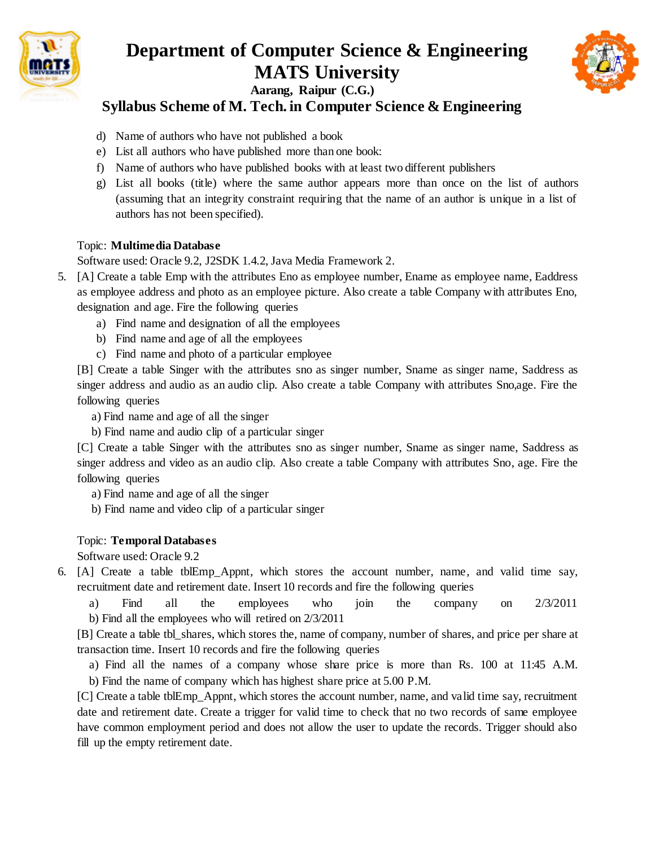



## **Syllabus Scheme of M. Tech. in Computer Science & Engineering**

- d) Name of authors who have not published a book
- e) List all authors who have published more than one book:
- f) Name of authors who have published books with at least two different publishers
- g) List all books (title) where the same author appears more than once on the list of authors (assuming that an integrity constraint requiring that the name of an author is unique in a list of authors has not been specified).

## Topic: **Multimedia Database**

Software used: Oracle 9.2, J2SDK 1.4.2, Java Media Framework 2.

- 5. [A] Create a table Emp with the attributes Eno as employee number, Ename as employee name, Eaddress as employee address and photo as an employee picture. Also create a table Company with attributes Eno, designation and age. Fire the following queries
	- a) Find name and designation of all the employees
	- b) Find name and age of all the employees
	- c) Find name and photo of a particular employee

[B] Create a table Singer with the attributes sno as singer number, Sname as singer name, Saddress as singer address and audio as an audio clip. Also create a table Company with attributes Sno,age. Fire the following queries

a) Find name and age of all the singer

b) Find name and audio clip of a particular singer

[C] Create a table Singer with the attributes sno as singer number, Sname as singer name, Saddress as singer address and video as an audio clip. Also create a table Company with attributes Sno, age. Fire the following queries

a) Find name and age of all the singer

b) Find name and video clip of a particular singer

## Topic: **Temporal Databases**

Software used: Oracle 9.2

6. [A] Create a table tblEmp\_Appnt, which stores the account number, name, and valid time say, recruitment date and retirement date. Insert 10 records and fire the following queries

 a) Find all the employees who join the company on 2/3/2011 b) Find all the employees who will retired on 2/3/2011

[B] Create a table tbl\_shares, which stores the, name of company, number of shares, and price per share at transaction time. Insert 10 records and fire the following queries

 a) Find all the names of a company whose share price is more than Rs. 100 at 11:45 A.M. b) Find the name of company which has highest share price at 5.00 P.M.

[C] Create a table tblEmp\_Appnt, which stores the account number, name, and valid time say, recruitment date and retirement date. Create a trigger for valid time to check that no two records of same employee have common employment period and does not allow the user to update the records. Trigger should also fill up the empty retirement date.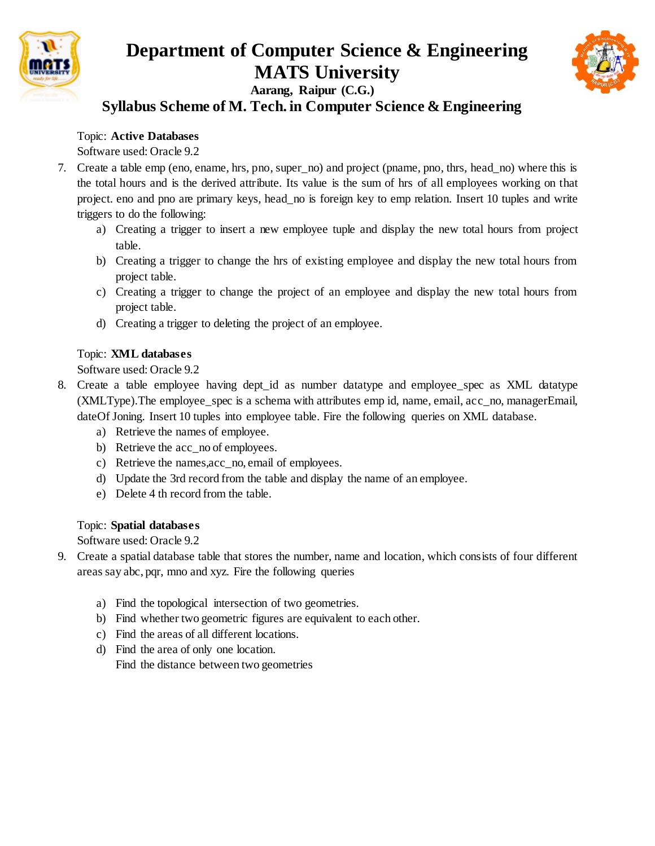



## **Syllabus Scheme of M. Tech. in Computer Science & Engineering**

### Topic: **Active Databases**

Software used: Oracle 9.2

- 7. Create a table emp (eno, ename, hrs, pno, super\_no) and project (pname, pno, thrs, head\_no) where this is the total hours and is the derived attribute. Its value is the sum of hrs of all employees working on that project. eno and pno are primary keys, head\_no is foreign key to emp relation. Insert 10 tuples and write triggers to do the following:
	- a) Creating a trigger to insert a new employee tuple and display the new total hours from project table.
	- b) Creating a trigger to change the hrs of existing employee and display the new total hours from project table.
	- c) Creating a trigger to change the project of an employee and display the new total hours from project table.
	- d) Creating a trigger to deleting the project of an employee.

#### Topic: **XML databases**

Software used: Oracle 9.2

- 8. Create a table employee having dept\_id as number datatype and employee\_spec as XML datatype (XMLType).The employee\_spec is a schema with attributes emp id, name, email, acc\_no, managerEmail, dateOf Joning. Insert 10 tuples into employee table. Fire the following queries on XML database.
	- a) Retrieve the names of employee.
	- b) Retrieve the acc\_no of employees.
	- c) Retrieve the names,acc\_no, email of employees.
	- d) Update the 3rd record from the table and display the name of an employee.
	- e) Delete 4 th record from the table.

#### Topic: **Spatial databases**

Software used: Oracle 9.2

- 9. Create a spatial database table that stores the number, name and location, which consists of four different areas say abc, pqr, mno and xyz. Fire the following queries
	- a) Find the topological intersection of two geometries.
	- b) Find whether two geometric figures are equivalent to each other.
	- c) Find the areas of all different locations.
	- d) Find the area of only one location. Find the distance between two geometries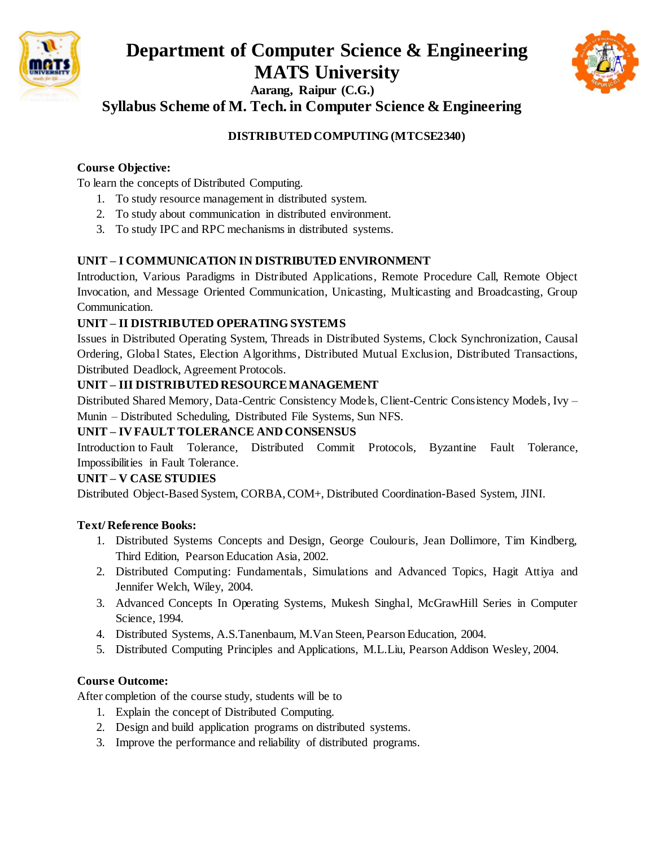

# **Department of Computer Science & Engineering MATS University**



**Aarang, Raipur (C.G.) Syllabus Scheme of M. Tech. in Computer Science & Engineering**

## **DISTRIBUTED COMPUTING (MTCSE2340)**

## **Course Objective:**

To learn the concepts of Distributed Computing.

- 1. To study resource management in distributed system.
- 2. To study about communication in distributed environment.
- 3. To study IPC and RPC mechanisms in distributed systems.

## **UNIT – I COMMUNICATION IN DISTRIBUTED ENVIRONMENT**

Introduction, Various Paradigms in Distributed Applications, Remote Procedure Call, Remote Object Invocation, and Message Oriented Communication, Unicasting, Multicasting and Broadcasting, Group Communication.

#### **UNIT – II DISTRIBUTED OPERATING SYSTEMS**

Issues in Distributed Operating System, Threads in Distributed Systems, Clock Synchronization, Causal Ordering, Global States, Election Algorithms, Distributed Mutual Exclusion, Distributed Transactions, Distributed Deadlock, Agreement Protocols.

#### **UNIT – III DISTRIBUTED RESOURCE MANAGEMENT**

Distributed Shared Memory, Data-Centric Consistency Models, Client-Centric Consistency Models, Ivy – Munin – Distributed Scheduling, Distributed File Systems, Sun NFS.

## **UNIT – IV FAULT TOLERANCE AND CONSENSUS**

Introduction to Fault Tolerance, Distributed Commit Protocols, Byzantine Fault Tolerance, Impossibilities in Fault Tolerance.

#### **UNIT – V CASE STUDIES**

Distributed Object-Based System, CORBA, COM+, Distributed Coordination-Based System, JINI.

#### **Text/ Reference Books:**

- 1. Distributed Systems Concepts and Design, George Coulouris, Jean Dollimore, Tim Kindberg, Third Edition, Pearson Education Asia, 2002.
- 2. Distributed Computing: Fundamentals, Simulations and Advanced Topics, Hagit Attiya and Jennifer Welch, Wiley, 2004.
- 3. Advanced Concepts In Operating Systems, Mukesh Singhal, McGrawHill Series in Computer Science, 1994.
- 4. Distributed Systems, A.S.Tanenbaum, M.Van Steen, Pearson Education, 2004.
- 5. Distributed Computing Principles and Applications, M.L.Liu, Pearson Addison Wesley, 2004.

## **Course Outcome:**

- 1. Explain the concept of Distributed Computing.
- 2. Design and build application programs on distributed systems.
- 3. Improve the performance and reliability of distributed programs.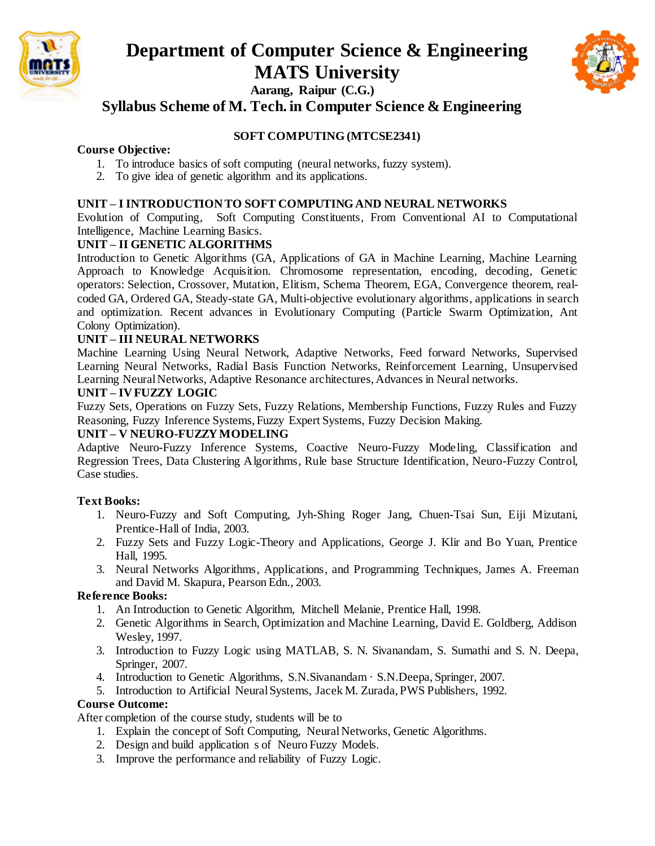



**Syllabus Scheme of M. Tech. in Computer Science & Engineering**

### **SOFT COMPUTING (MTCSE2341)**

#### **Course Objective:**

- 1. To introduce basics of soft computing (neural networks, fuzzy system).
- 2. To give idea of genetic algorithm and its applications.

#### **UNIT – I INTRODUCTION TO SOFT COMPUTING AND NEURAL NETWORKS**

Evolution of Computing, Soft Computing Constituents, From Conventional AI to Computational Intelligence, Machine Learning Basics.

#### **UNIT – II GENETIC ALGORITHMS**

Introduction to Genetic Algorithms (GA, Applications of GA in Machine Learning, Machine Learning Approach to Knowledge Acquisition. Chromosome representation, encoding, decoding, Genetic operators: Selection, Crossover, Mutation, Elitism, Schema Theorem, EGA, Convergence theorem, realcoded GA, Ordered GA, Steady-state GA, Multi-objective evolutionary algorithms, applications in search and optimization. Recent advances in Evolutionary Computing (Particle Swarm Optimization, Ant Colony Optimization).

#### **UNIT – III NEURAL NETWORKS**

Machine Learning Using Neural Network, Adaptive Networks, Feed forward Networks, Supervised Learning Neural Networks, Radial Basis Function Networks, Reinforcement Learning, Unsupervised Learning Neural Networks, Adaptive Resonance architectures, Advances in Neural networks.

#### **UNIT – IV FUZZY LOGIC**

Fuzzy Sets, Operations on Fuzzy Sets, Fuzzy Relations, Membership Functions, Fuzzy Rules and Fuzzy Reasoning, Fuzzy Inference Systems, Fuzzy Expert Systems, Fuzzy Decision Making.

#### **UNIT – V NEURO-FUZZY MODELING**

Adaptive Neuro-Fuzzy Inference Systems, Coactive Neuro-Fuzzy Modeling, Classification and Regression Trees, Data Clustering Algorithms, Rule base Structure Identification, Neuro-Fuzzy Control, Case studies.

#### **Text Books:**

- 1. Neuro-Fuzzy and Soft Computing, Jyh-Shing Roger Jang, Chuen-Tsai Sun, Eiji Mizutani, Prentice-Hall of India, 2003.
- 2. Fuzzy Sets and Fuzzy Logic-Theory and Applications, George J. Klir and Bo Yuan, Prentice Hall, 1995.
- 3. Neural Networks Algorithms, Applications, and Programming Techniques, James A. Freeman and David M. Skapura, Pearson Edn., 2003.

#### **Reference Books:**

- 1. An Introduction to Genetic Algorithm, Mitchell Melanie, Prentice Hall, 1998.
- 2. Genetic Algorithms in Search, Optimization and Machine Learning, David E. Goldberg, Addison Wesley, 1997.
- 3. Introduction to Fuzzy Logic using MATLAB, S. N. Sivanandam, S. Sumathi and S. N. Deepa, Springer, 2007.
- 4. Introduction to Genetic Algorithms, S.N.Sivanandam · S.N.Deepa, Springer, 2007.
- 5. Introduction to Artificial Neural Systems, Jacek M. Zurada, PWS Publishers, 1992.

#### **Course Outcome:**

- 1. Explain the concept of Soft Computing, Neural Networks, Genetic Algorithms.
- 2. Design and build application s of Neuro Fuzzy Models.
- 3. Improve the performance and reliability of Fuzzy Logic.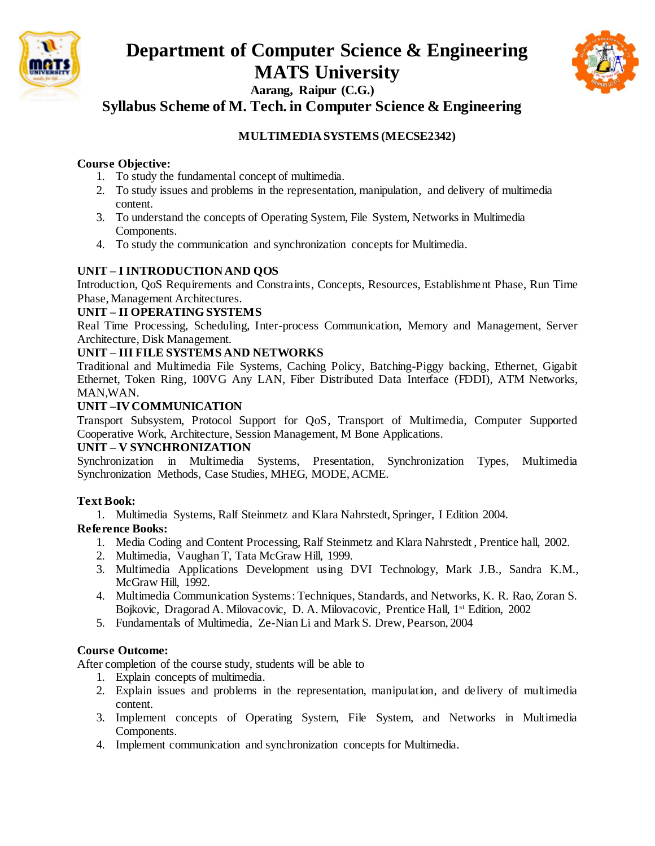



**Syllabus Scheme of M. Tech. in Computer Science & Engineering**

## **MULTIMEDIA SYSTEMS (MECSE2342)**

#### **Course Objective:**

- 1. To study the fundamental concept of multimedia.
- 2. To study issues and problems in the representation, manipulation, and delivery of multimedia content.
- 3. To understand the concepts of Operating System, File System, Networks in Multimedia Components.
- 4. To study the communication and synchronization concepts for Multimedia.

## **UNIT – I INTRODUCTION AND QOS**

Introduction, QoS Requirements and Constraints, Concepts, Resources, Establishment Phase, Run Time Phase, Management Architectures.

#### **UNIT – II OPERATING SYSTEMS**

Real Time Processing, Scheduling, Inter-process Communication, Memory and Management, Server Architecture, Disk Management.

#### **UNIT – III FILE SYSTEMS AND NETWORKS**

Traditional and Multimedia File Systems, Caching Policy, Batching-Piggy backing, Ethernet, Gigabit Ethernet, Token Ring, 100VG Any LAN, Fiber Distributed Data Interface (FDDI), ATM Networks, MAN,WAN.

#### **UNIT –IV COMMUNICATION**

Transport Subsystem, Protocol Support for QoS, Transport of Multimedia, Computer Supported Cooperative Work, Architecture, Session Management, M Bone Applications.

#### **UNIT – V SYNCHRONIZATION**

Synchronization in Multimedia Systems, Presentation, Synchronization Types, Multimedia Synchronization Methods, Case Studies, MHEG, MODE, ACME.

#### **Text Book:**

1. Multimedia Systems, Ralf Steinmetz and Klara Nahrstedt, Springer, I Edition 2004.

#### **Reference Books:**

- 1. Media Coding and Content Processing, Ralf Steinmetz and Klara Nahrstedt , Prentice hall, 2002.
- 2. Multimedia, Vaughan T, Tata McGraw Hill, 1999.
- 3. Multimedia Applications Development using DVI Technology, Mark J.B., Sandra K.M., McGraw Hill, 1992.
- 4. Multimedia Communication Systems: Techniques, Standards, and Networks, K. R. Rao, Zoran S. Bojkovic, Dragorad A. Milovacovic, D. A. Milovacovic, Prentice Hall, 1<sup>st</sup> Edition, 2002
- 5. Fundamentals of Multimedia, Ze-Nian Li and Mark S. Drew, Pearson, 2004

## **Course Outcome:**

- 1. Explain concepts of multimedia.
- 2. Explain issues and problems in the representation, manipulation, and delivery of multimedia content.
- 3. Implement concepts of Operating System, File System, and Networks in Multimedia Components.
- 4. Implement communication and synchronization concepts for Multimedia.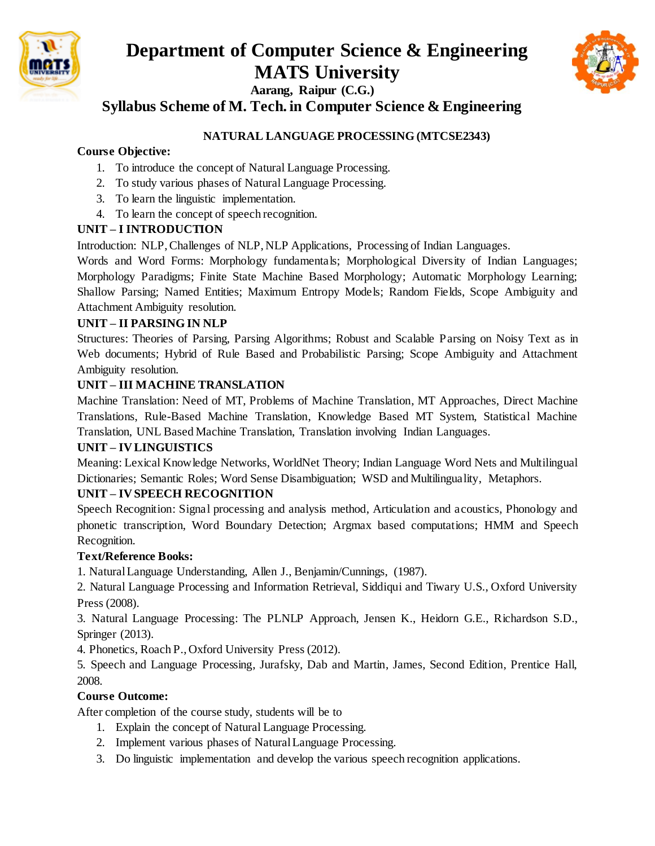



**Syllabus Scheme of M. Tech. in Computer Science & Engineering**

## **NATURAL LANGUAGE PROCESSING (MTCSE2343)**

## **Course Objective:**

- 1. To introduce the concept of Natural Language Processing.
- 2. To study various phases of Natural Language Processing.
- 3. To learn the linguistic implementation.
- 4. To learn the concept of speech recognition.

## **UNIT – I INTRODUCTION**

Introduction: NLP, Challenges of NLP, NLP Applications, Processing of Indian Languages.

Words and Word Forms: Morphology fundamentals; Morphological Diversity of Indian Languages; Morphology Paradigms; Finite State Machine Based Morphology; Automatic Morphology Learning; Shallow Parsing; Named Entities; Maximum Entropy Models; Random Fields, Scope Ambiguity and Attachment Ambiguity resolution.

## **UNIT – II PARSING IN NLP**

Structures: Theories of Parsing, Parsing Algorithms; Robust and Scalable Parsing on Noisy Text as in Web documents; Hybrid of Rule Based and Probabilistic Parsing; Scope Ambiguity and Attachment Ambiguity resolution.

## **UNIT – III MACHINE TRANSLATION**

Machine Translation: Need of MT, Problems of Machine Translation, MT Approaches, Direct Machine Translations, Rule-Based Machine Translation, Knowledge Based MT System, Statistical Machine Translation, UNL Based Machine Translation, Translation involving Indian Languages.

## **UNIT – IV LINGUISTICS**

Meaning: Lexical Knowledge Networks, WorldNet Theory; Indian Language Word Nets and Multilingual Dictionaries; Semantic Roles; Word Sense Disambiguation; WSD and Multilinguality, Metaphors.

## **UNIT – IV SPEECH RECOGNITION**

Speech Recognition: Signal processing and analysis method, Articulation and acoustics, Phonology and phonetic transcription, Word Boundary Detection; Argmax based computations; HMM and Speech Recognition.

## **Text/Reference Books:**

1. Natural Language Understanding, Allen J., Benjamin/Cunnings, (1987).

2. Natural Language Processing and Information Retrieval, Siddiqui and Tiwary U.S., Oxford University Press (2008).

3. Natural Language Processing: The PLNLP Approach, Jensen K., Heidorn G.E., Richardson S.D., Springer (2013).

4. Phonetics, Roach P., Oxford University Press (2012).

5. Speech and Language Processing, Jurafsky, Dab and Martin, James, Second Edition, Prentice Hall, 2008.

## **Course Outcome:**

- 1. Explain the concept of Natural Language Processing.
- 2. Implement various phases of Natural Language Processing.
- 3. Do linguistic implementation and develop the various speech recognition applications.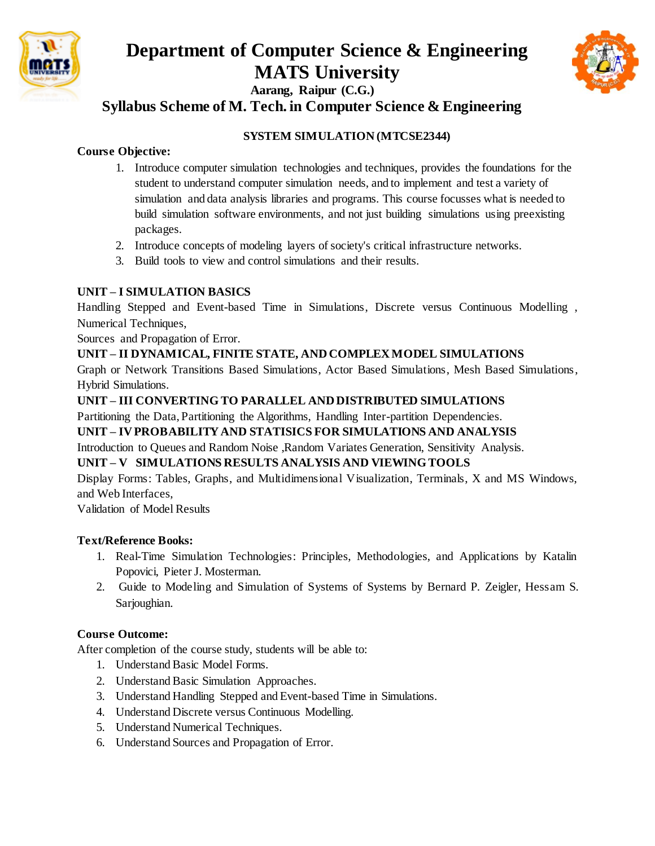



**Syllabus Scheme of M. Tech. in Computer Science & Engineering**

## **SYSTEM SIMULATION (MTCSE2344)**

## **Course Objective:**

- 1. Introduce computer simulation technologies and techniques, provides the foundations for the student to understand computer simulation needs, and to implement and test a variety of simulation and data analysis libraries and programs. This course focusses what is needed to build simulation software environments, and not just building simulations using preexisting packages.
- 2. Introduce concepts of modeling layers of society's critical infrastructure networks.
- 3. Build tools to view and control simulations and their results.

## **UNIT – I SIMULATION BASICS**

Handling Stepped and Event-based Time in Simulations, Discrete versus Continuous Modelling , Numerical Techniques,

Sources and Propagation of Error.

## **UNIT – II DYNAMICAL, FINITE STATE, AND COMPLEX MODEL SIMULATIONS**

Graph or Network Transitions Based Simulations, Actor Based Simulations, Mesh Based Simulations, Hybrid Simulations.

## **UNIT – III CONVERTING TO PARALLEL AND DISTRIBUTED SIMULATIONS**

Partitioning the Data, Partitioning the Algorithms, Handling Inter-partition Dependencies.

## **UNIT – IV PROBABILITY AND STATISICS FOR SIMULATIONS AND ANALYSIS**

Introduction to Queues and Random Noise ,Random Variates Generation, Sensitivity Analysis.

## **UNIT – V SIMULATIONS RESULTS ANALYSIS AND VIEWING TOOLS**

Display Forms: Tables, Graphs, and Multidimensional Visualization, Terminals, X and MS Windows, and Web Interfaces,

Validation of Model Results

## **Text/Reference Books:**

- 1. Real-Time Simulation Technologies: Principles, Methodologies, and Applications by Katalin Popovici, Pieter J. Mosterman.
- 2. Guide to Modeling and Simulation of Systems of Systems by Bernard P. Zeigler, Hessam S. Sarjoughian.

## **Course Outcome:**

- 1. Understand Basic Model Forms.
- 2. Understand Basic Simulation Approaches.
- 3. Understand Handling Stepped and Event-based Time in Simulations.
- 4. Understand Discrete versus Continuous Modelling.
- 5. Understand Numerical Techniques.
- 6. Understand Sources and Propagation of Error.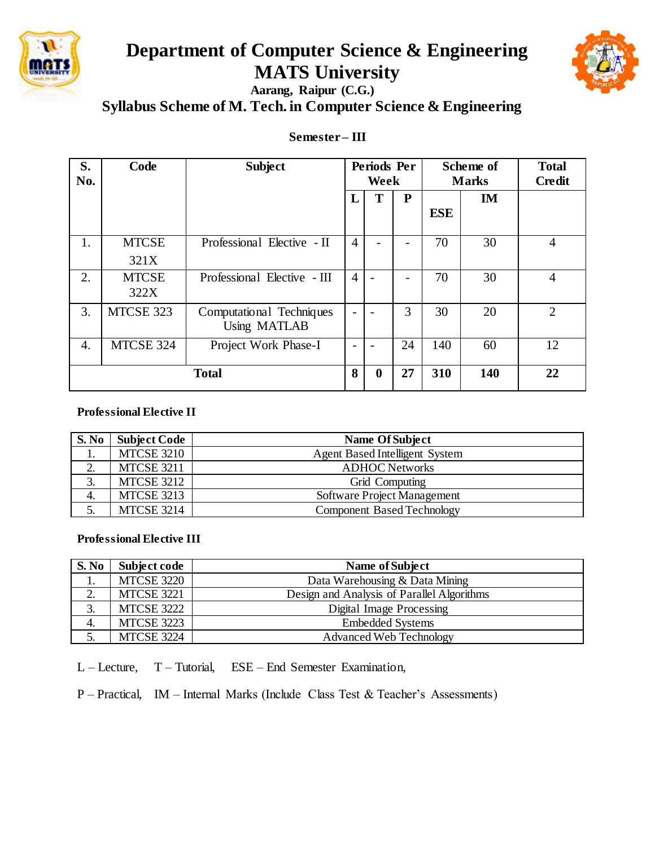

# **Department of Computer Science & Engineering MATS University**



**Aarang, Raipur (C.G.) Syllabus Scheme of M. Tech. in Computer Science & Engineering**

## **Semester – III**

| S.<br>No.    | Code                 | <b>Subject</b>                                  | Periods Per<br>Week |             | Scheme of<br><b>Marks</b> |            | <b>Total</b><br><b>Credit</b> |                |
|--------------|----------------------|-------------------------------------------------|---------------------|-------------|---------------------------|------------|-------------------------------|----------------|
|              |                      |                                                 | L                   | T           | ${\bf P}$                 | <b>ESE</b> | IM                            |                |
| 1.           | <b>MTCSE</b><br>321X | Professional Elective - II                      | $\overline{4}$      |             |                           | 70         | 30                            | $\overline{4}$ |
| 2.           | <b>MTCSE</b><br>322X | Professional Elective - III                     | $\overline{4}$      |             |                           | 70         | 30                            | $\overline{4}$ |
| 3.           | MTCSE 323            | Computational Techniques<br><b>Using MATLAB</b> | $\overline{a}$      |             | 3                         | 30         | 20                            | $\overline{2}$ |
| 4.           | MTCSE 324            | Project Work Phase-I                            |                     |             | 24                        | 140        | 60                            | 12             |
| <b>Total</b> |                      |                                                 | 8                   | $\mathbf 0$ | 27                        | 310        | 140                           | 22             |

#### **Professional Elective II**

| S. No | <b>Subject Code</b> | Name Of Subject                       |
|-------|---------------------|---------------------------------------|
| .,    | <b>MTCSE 3210</b>   | <b>Agent Based Intelligent System</b> |
| ــ    | <b>MTCSE 3211</b>   | <b>ADHOC Networks</b>                 |
|       | <b>MTCSE 3212</b>   | Grid Computing                        |
| 4.    | <b>MTCSE 3213</b>   | Software Project Management           |
|       | <b>MTCSE 3214</b>   | <b>Component Based Technology</b>     |

#### **Professional Elective III**

| S. No | Subject code      | Name of Subject                            |
|-------|-------------------|--------------------------------------------|
| 1.    | <b>MTCSE 3220</b> | Data Warehousing & Data Mining             |
| 2.    | <b>MTCSE 3221</b> | Design and Analysis of Parallel Algorithms |
| 3.    | MTCSE 3222        | Digital Image Processing                   |
| 4.    | MTCSE 3223        | <b>Embedded Systems</b>                    |
|       | <b>MTCSE 3224</b> | <b>Advanced Web Technology</b>             |

L – Lecture, T – Tutorial, ESE – End Semester Examination,

P – Practical, IM – Internal Marks (Include Class Test & Teacher's Assessments)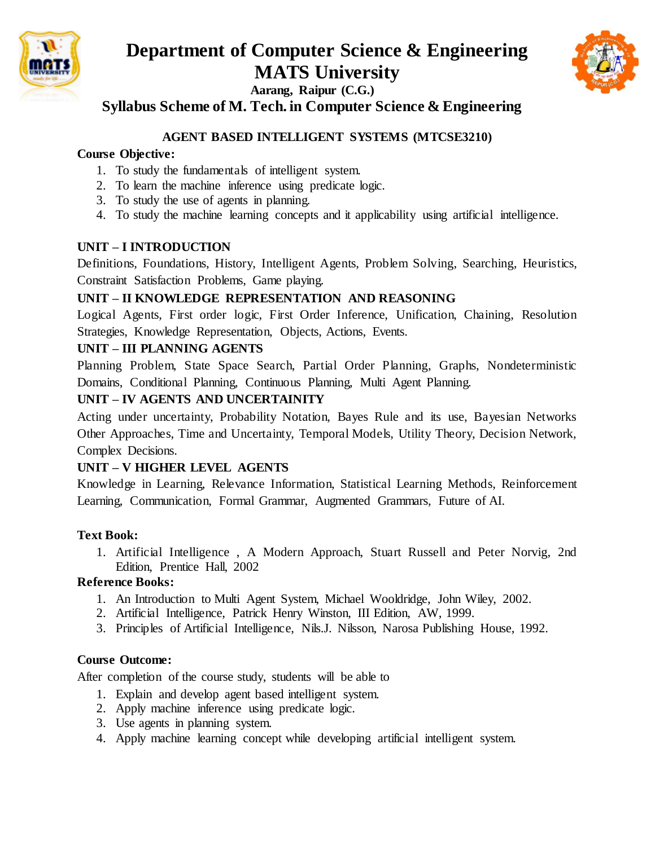



**Syllabus Scheme of M. Tech. in Computer Science & Engineering**

## **AGENT BASED INTELLIGENT SYSTEMS (MTCSE3210)**

## **Course Objective:**

- 1. To study the fundamentals of intelligent system.
- 2. To learn the machine inference using predicate logic.
- 3. To study the use of agents in planning.
- 4. To study the machine learning concepts and it applicability using artificial intelligence.

## **UNIT – I INTRODUCTION**

Definitions, Foundations, History, Intelligent Agents, Problem Solving, Searching, Heuristics, Constraint Satisfaction Problems, Game playing.

## **UNIT – II KNOWLEDGE REPRESENTATION AND REASONING**

Logical Agents, First order logic, First Order Inference, Unification, Chaining, Resolution Strategies, Knowledge Representation, Objects, Actions, Events.

## **UNIT – III PLANNING AGENTS**

Planning Problem, State Space Search, Partial Order Planning, Graphs, Nondeterministic Domains, Conditional Planning, Continuous Planning, Multi Agent Planning.

## **UNIT – IV AGENTS AND UNCERTAINITY**

Acting under uncertainty, Probability Notation, Bayes Rule and its use, Bayesian Networks Other Approaches, Time and Uncertainty, Temporal Models, Utility Theory, Decision Network, Complex Decisions.

## **UNIT – V HIGHER LEVEL AGENTS**

Knowledge in Learning, Relevance Information, Statistical Learning Methods, Reinforcement Learning, Communication, Formal Grammar, Augmented Grammars, Future of AI.

## **Text Book:**

1. Artificial Intelligence , A Modern Approach, Stuart Russell and Peter Norvig, 2nd Edition, Prentice Hall, 2002

## **Reference Books:**

- 1. An Introduction to Multi Agent System, Michael Wooldridge, John Wiley, 2002.
- 2. Artificial Intelligence, Patrick Henry Winston, III Edition, AW, 1999.
- 3. Principles of Artificial Intelligence, Nils.J. Nilsson, Narosa Publishing House, 1992.

## **Course Outcome:**

- 1. Explain and develop agent based intelligent system.
- 2. Apply machine inference using predicate logic.
- 3. Use agents in planning system.
- 4. Apply machine learning concept while developing artificial intelligent system.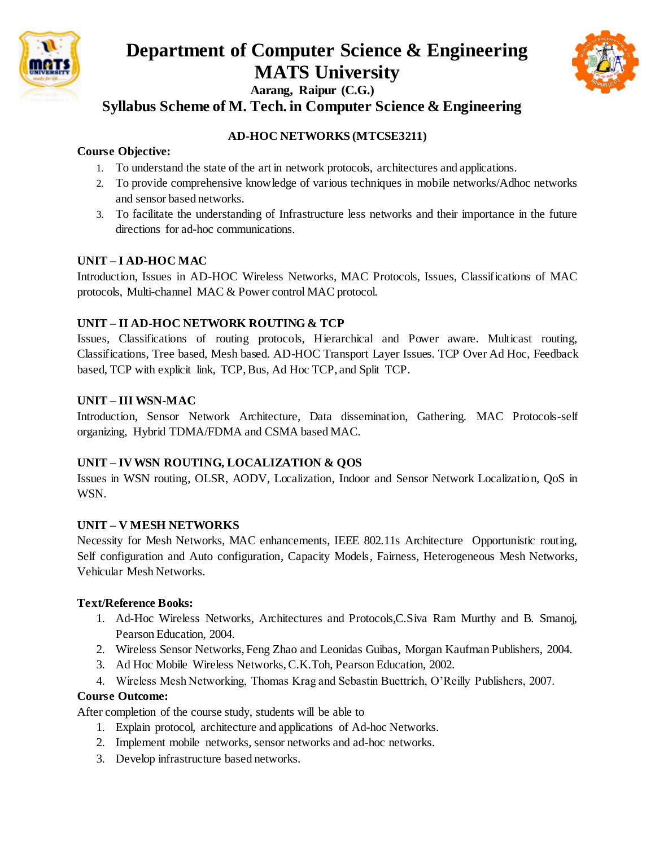



**Syllabus Scheme of M. Tech. in Computer Science & Engineering**

## **AD-HOC NETWORKS (MTCSE3211)**

### **Course Objective:**

- 1. To understand the state of the art in network protocols, architectures and applications.
- 2. To provide comprehensive knowledge of various techniques in mobile networks/Adhoc networks and sensor based networks.
- 3. To facilitate the understanding of Infrastructure less networks and their importance in the future directions for ad-hoc communications.

## **UNIT – I AD-HOC MAC**

Introduction, Issues in AD-HOC Wireless Networks, MAC Protocols, Issues, Classifications of MAC protocols, Multi-channel MAC & Power control MAC protocol.

#### **UNIT – II AD-HOC NETWORK ROUTING & TCP**

Issues, Classifications of routing protocols, Hierarchical and Power aware. Multicast routing, Classifications, Tree based, Mesh based. AD-HOC Transport Layer Issues. TCP Over Ad Hoc, Feedback based, TCP with explicit link, TCP, Bus, Ad Hoc TCP, and Split TCP.

#### **UNIT – III WSN-MAC**

Introduction, Sensor Network Architecture, Data dissemination, Gathering. MAC Protocols-self organizing, Hybrid TDMA/FDMA and CSMA based MAC.

## **UNIT – IV WSN ROUTING, LOCALIZATION & QOS**

Issues in WSN routing, OLSR, AODV, Localization, Indoor and Sensor Network Localization, QoS in WSN.

#### **UNIT – V MESH NETWORKS**

Necessity for Mesh Networks, MAC enhancements, IEEE 802.11s Architecture Opportunistic routing, Self configuration and Auto configuration, Capacity Models, Fairness, Heterogeneous Mesh Networks, Vehicular Mesh Networks.

#### **Text/Reference Books:**

- 1. Ad-Hoc Wireless Networks, Architectures and Protocols,C.Siva Ram Murthy and B. Smanoj, Pearson Education, 2004.
- 2. Wireless Sensor Networks, Feng Zhao and Leonidas Guibas, Morgan Kaufman Publishers, 2004.
- 3. Ad Hoc Mobile Wireless Networks, C.K.Toh, Pearson Education, 2002.
- 4. Wireless Mesh Networking, Thomas Krag and Sebastin Buettrich, O'Reilly Publishers, 2007.

#### **Course Outcome:**

- 1. Explain protocol, architecture and applications of Ad-hoc Networks.
- 2. Implement mobile networks, sensor networks and ad-hoc networks.
- 3. Develop infrastructure based networks.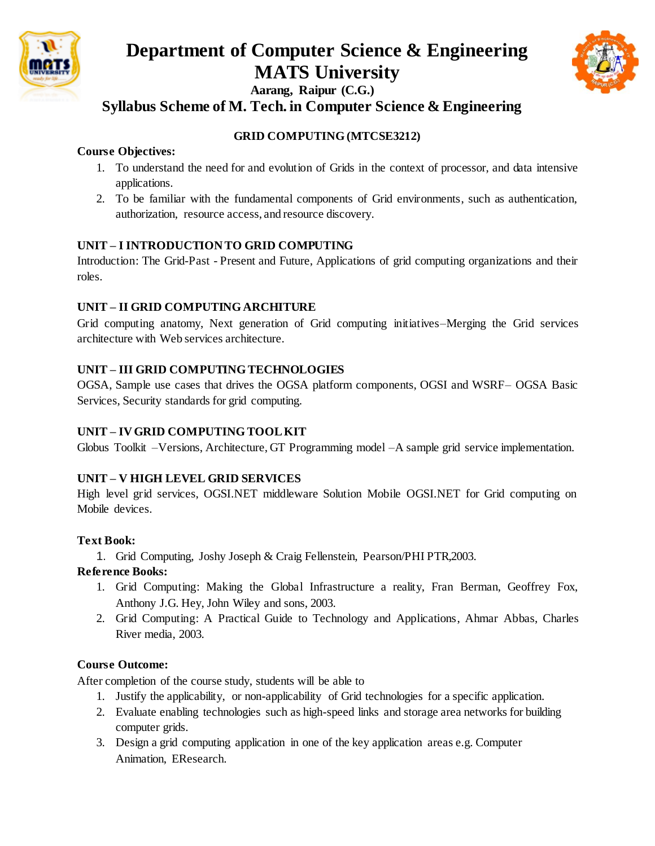



**Syllabus Scheme of M. Tech. in Computer Science & Engineering**

## **GRID COMPUTING (MTCSE3212)**

#### **Course Objectives:**

- 1. To understand the need for and evolution of Grids in the context of processor, and data intensive applications.
- 2. To be familiar with the fundamental components of Grid environments, such as authentication, authorization, resource access, and resource discovery.

#### **UNIT – I INTRODUCTION TO GRID COMPUTING**

Introduction: The Grid-Past - Present and Future, Applications of grid computing organizations and their roles.

#### **UNIT – II GRID COMPUTING ARCHITURE**

Grid computing anatomy, Next generation of Grid computing initiatives–Merging the Grid services architecture with Web services architecture.

#### **UNIT – III GRID COMPUTING TECHNOLOGIES**

OGSA, Sample use cases that drives the OGSA platform components, OGSI and WSRF– OGSA Basic Services, Security standards for grid computing.

## **UNIT – IV GRID COMPUTING TOOL KIT**

Globus Toolkit –Versions, Architecture, GT Programming model –A sample grid service implementation.

## **UNIT – V HIGH LEVEL GRID SERVICES**

High level grid services, OGSI.NET middleware Solution Mobile OGSI.NET for Grid computing on Mobile devices.

#### **Text Book:**

1. Grid Computing, Joshy Joseph & Craig Fellenstein, Pearson/PHI PTR,2003.

#### **Reference Books:**

- 1. Grid Computing: Making the Global Infrastructure a reality, Fran Berman, Geoffrey Fox, Anthony J.G. Hey, John Wiley and sons, 2003.
- 2. Grid Computing: A Practical Guide to Technology and Applications, Ahmar Abbas, Charles River media, 2003.

## **Course Outcome:**

- 1. Justify the applicability, or non-applicability of Grid technologies for a specific application.
- 2. Evaluate enabling technologies such as high-speed links and storage area networks for building computer grids.
- 3. Design a grid computing application in one of the key application areas e.g. Computer Animation, EResearch.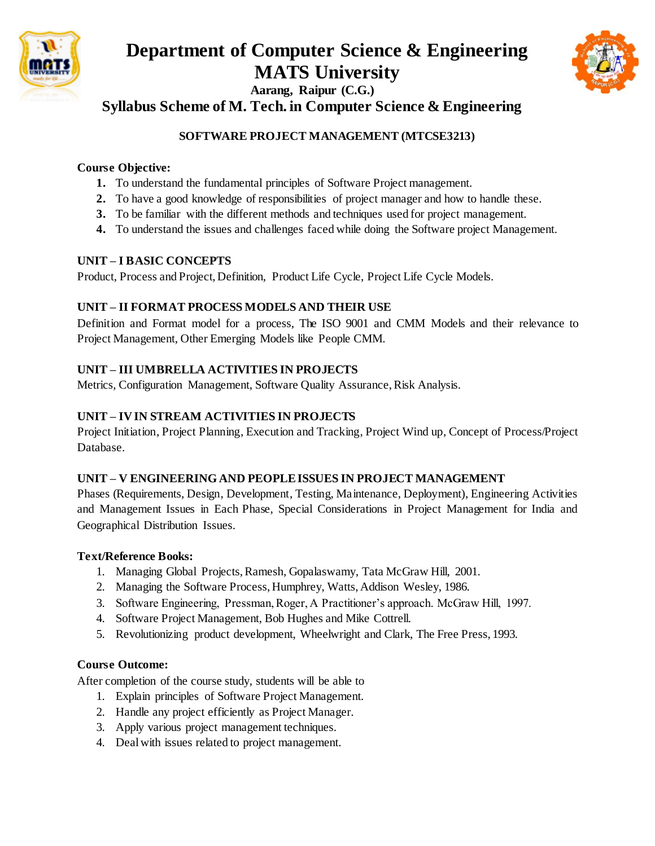



**Syllabus Scheme of M. Tech. in Computer Science & Engineering**

## **SOFTWARE PROJECT MANAGEMENT (MTCSE3213)**

## **Course Objective:**

- **1.** To understand the fundamental principles of Software Project management.
- **2.** To have a good knowledge of responsibilities of project manager and how to handle these.
- **3.** To be familiar with the different methods and techniques used for project management.
- **4.** To understand the issues and challenges faced while doing the Software project Management.

## **UNIT – I BASIC CONCEPTS**

Product, Process and Project, Definition, Product Life Cycle, Project Life Cycle Models.

## **UNIT – II FORMAT PROCESS MODELS AND THEIR USE**

Definition and Format model for a process, The ISO 9001 and CMM Models and their relevance to Project Management, Other Emerging Models like People CMM.

## **UNIT – III UMBRELLA ACTIVITIES IN PROJECTS**

Metrics, Configuration Management, Software Quality Assurance, Risk Analysis.

## **UNIT – IV IN STREAM ACTIVITIES IN PROJECTS**

Project Initiation, Project Planning, Execution and Tracking, Project Wind up, Concept of Process/Project Database.

## **UNIT – V ENGINEERING AND PEOPLE ISSUES IN PROJECT MANAGEMENT**

Phases (Requirements, Design, Development, Testing, Maintenance, Deployment), Engineering Activities and Management Issues in Each Phase, Special Considerations in Project Management for India and Geographical Distribution Issues.

## **Text/Reference Books:**

- 1. Managing Global Projects, Ramesh, Gopalaswamy, Tata McGraw Hill, 2001.
- 2. Managing the Software Process, Humphrey, Watts, Addison Wesley, 1986.
- 3. Software Engineering, Pressman, Roger, A Practitioner's approach. McGraw Hill, 1997.
- 4. Software Project Management, Bob Hughes and Mike Cottrell.
- 5. Revolutionizing product development, Wheelwright and Clark, The Free Press, 1993.

## **Course Outcome:**

- 1. Explain principles of Software Project Management.
- 2. Handle any project efficiently as Project Manager.
- 3. Apply various project management techniques.
- 4. Deal with issues related to project management.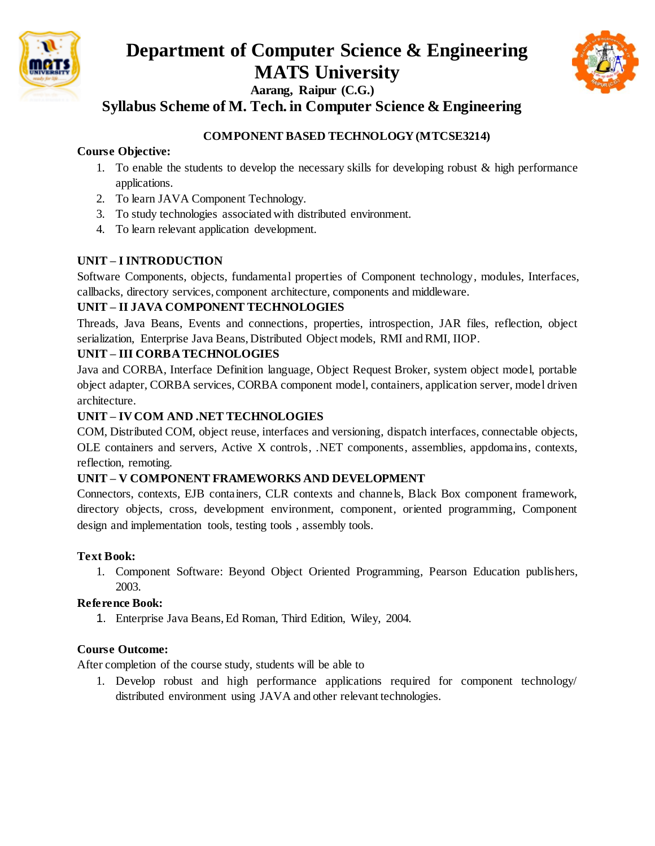



**Syllabus Scheme of M. Tech. in Computer Science & Engineering**

## **COMPONENT BASED TECHNOLOGY (MTCSE3214)**

### **Course Objective:**

- 1. To enable the students to develop the necessary skills for developing robust & high performance applications.
- 2. To learn JAVA Component Technology.
- 3. To study technologies associated with distributed environment.
- 4. To learn relevant application development.

## **UNIT – I INTRODUCTION**

Software Components, objects, fundamental properties of Component technology, modules, Interfaces, callbacks, directory services, component architecture, components and middleware.

## **UNIT – II JAVA COMPONENT TECHNOLOGIES**

Threads, Java Beans, Events and connections, properties, introspection, JAR files, reflection, object serialization, Enterprise Java Beans, Distributed Object models, RMI and RMI, IIOP.

## **UNIT – III CORBA TECHNOLOGIES**

Java and CORBA, Interface Definition language, Object Request Broker, system object model, portable object adapter, CORBA services, CORBA component model, containers, application server, model driven architecture.

## **UNIT – IV COM AND .NET TECHNOLOGIES**

COM, Distributed COM, object reuse, interfaces and versioning, dispatch interfaces, connectable objects, OLE containers and servers, Active X controls, .NET components, assemblies, appdomains, contexts, reflection, remoting.

## **UNIT – V COMPONENT FRAMEWORKS AND DEVELOPMENT**

Connectors, contexts, EJB containers, CLR contexts and channels, Black Box component framework, directory objects, cross, development environment, component, oriented programming, Component design and implementation tools, testing tools , assembly tools.

## **Text Book:**

1. Component Software: Beyond Object Oriented Programming, Pearson Education publishers, 2003.

## **Reference Book:**

1. Enterprise Java Beans, Ed Roman, Third Edition, Wiley, 2004.

## **Course Outcome:**

After completion of the course study, students will be able to

1. Develop robust and high performance applications required for component technology/ distributed environment using JAVA and other relevant technologies.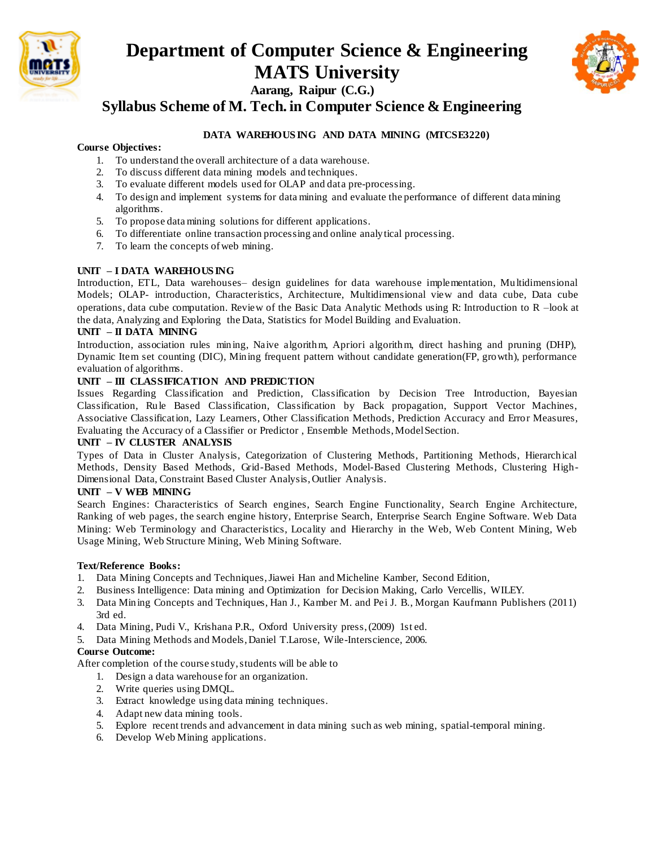



**Syllabus Scheme of M. Tech. in Computer Science & Engineering**

#### **DATA WAREHOUS ING AND DATA MINING (MTCSE3220)**

#### **Course Objectives:**

- 1. To understand the overall architecture of a data warehouse.
- 2. To discuss different data mining models and techniques.
- 3. To evaluate different models used for OLAP and data pre-processing.
- 4. To design and implement systems for data mining and evaluate the performance of different data mining algorithms.
- 5. To propose data mining solutions for different applications.
- 6. To differentiate online transaction processing and online analytical processing.
- 7. To learn the concepts of web mining.

#### **UNIT – I DATA WAREHOUS ING**

Introduction, ETL, Data warehouses– design guidelines for data warehouse implementation, Multidimensional Models; OLAP- introduction, Characteristics, Architecture, Multidimensional view and data cube, Data cube operations, data cube computation. Review of the Basic Data Analytic Methods using R: Introduction to R –look at the data, Analyzing and Exploring the Data, Statistics for Model Building and Evaluation.

#### **UNIT – II DATA MINING**

Introduction, association rules mining, Naive algorithm, Apriori algorithm, direct hashing and pruning (DHP), Dynamic Item set counting (DIC), Mining frequent pattern without candidate generation(FP, growth), performance evaluation of algorithms.

#### **UNIT – III CLASSIFICATION AND PREDICTION**

Issues Regarding Classification and Prediction, Classification by Decision Tree Introduction, Bayesian Classification, Rule Based Classification, Classification by Back propagation, Support Vector Machines, Associative Classification, Lazy Learners, Other Classification Methods, Prediction Accuracy and Error Measures, Evaluating the Accuracy of a Classifier or Predictor , Ensemble Methods, Model Section.

#### **UNIT – IV CLUSTER ANALYSIS**

Types of Data in Cluster Analysis, Categorization of Clustering Methods, Partitioning Methods, Hierarchical Methods, Density Based Methods, Grid-Based Methods, Model-Based Clustering Methods, Clustering High-Dimensional Data, Constraint Based Cluster Analysis, Outlier Analysis.

#### **UNIT – V WEB MINING**

Search Engines: Characteristics of Search engines, Search Engine Functionality, Search Engine Architecture, Ranking of web pages, the search engine history, Enterprise Search, Enterprise Search Engine Software. Web Data Mining: Web Terminology and Characteristics, Locality and Hierarchy in the Web, Web Content Mining, Web Usage Mining, Web Structure Mining, Web Mining Software.

#### **Text/Reference Books:**

- 1. Data Mining Concepts and Techniques, Jiawei Han and Micheline Kamber, Second Edition,
- 2. Business Intelligence: Data mining and Optimization for Decision Making, Carlo Vercellis, WILEY.
- 3. Data Mining Concepts and Techniques, Han J., Kamber M. and Pei J. B., Morgan Kaufmann Publishers (2011) 3rd ed.
- 4. Data Mining, Pudi V., Krishana P.R., Oxford University press, (2009) 1st ed.
- 5. Data Mining Methods and Models, Daniel T.Larose, Wile-Interscience, 2006.

#### **Course Outcome:**

- 1. Design a data warehouse for an organization.
- 2. Write queries using DMQL.
- 3. Extract knowledge using data mining techniques.
- 4. Adapt new data mining tools.
- 5. Explore recent trends and advancement in data mining such as web mining, spatial-temporal mining.
- 6. Develop Web Mining applications.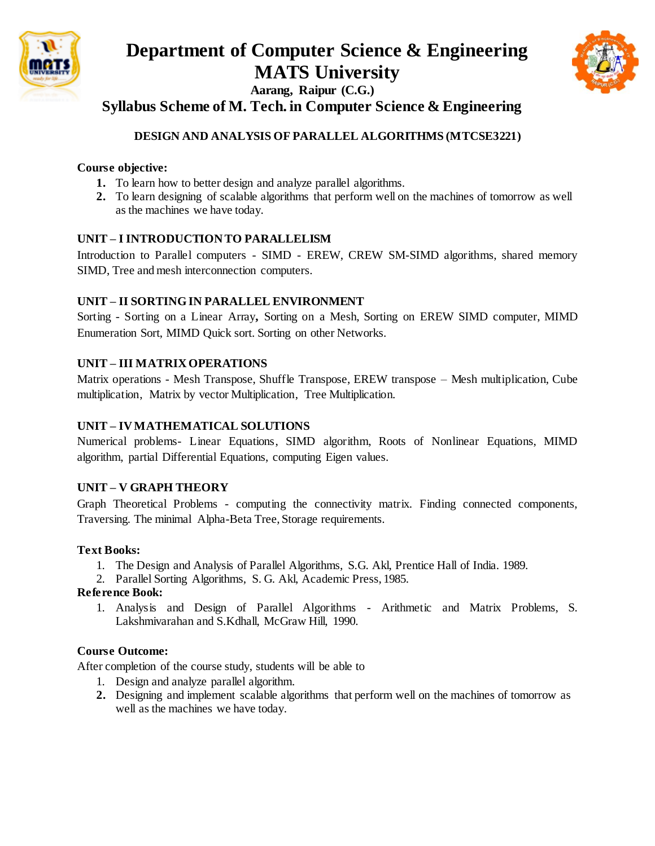



## **Syllabus Scheme of M. Tech. in Computer Science & Engineering**

## **DESIGN AND ANALYSIS OF PARALLEL ALGORITHMS (MTCSE3221)**

### **Course objective:**

- **1.** To learn how to better design and analyze parallel algorithms.
- **2.** To learn designing of scalable algorithms that perform well on the machines of tomorrow as well as the machines we have today.

#### **UNIT – I INTRODUCTION TO PARALLELISM**

Introduction to Parallel computers - SIMD - EREW, CREW SM-SIMD algorithms, shared memory SIMD, Tree and mesh interconnection computers.

#### **UNIT – II SORTING IN PARALLEL ENVIRONMENT**

Sorting - Sorting on a Linear Array**,** Sorting on a Mesh, Sorting on EREW SIMD computer, MIMD Enumeration Sort, MIMD Quick sort. Sorting on other Networks.

#### **UNIT – III MATRIX OPERATIONS**

Matrix operations - Mesh Transpose, Shuffle Transpose, EREW transpose – Mesh multiplication, Cube multiplication, Matrix by vector Multiplication, Tree Multiplication.

#### **UNIT – IV MATHEMATICAL SOLUTIONS**

Numerical problems- Linear Equations, SIMD algorithm, Roots of Nonlinear Equations, MIMD algorithm, partial Differential Equations, computing Eigen values.

## **UNIT – V GRAPH THEORY**

Graph Theoretical Problems - computing the connectivity matrix. Finding connected components, Traversing. The minimal Alpha-Beta Tree, Storage requirements.

#### **Text Books:**

- 1. The Design and Analysis of Parallel Algorithms, S.G. Akl, Prentice Hall of India. 1989.
- 2. Parallel Sorting Algorithms, S. G. Akl, Academic Press, 1985.

#### **Reference Book:**

1. Analysis and Design of Parallel Algorithms - Arithmetic and Matrix Problems, S. Lakshmivarahan and S.Kdhall, McGraw Hill, 1990.

#### **Course Outcome:**

- 1. Design and analyze parallel algorithm.
- **2.** Designing and implement scalable algorithms that perform well on the machines of tomorrow as well as the machines we have today.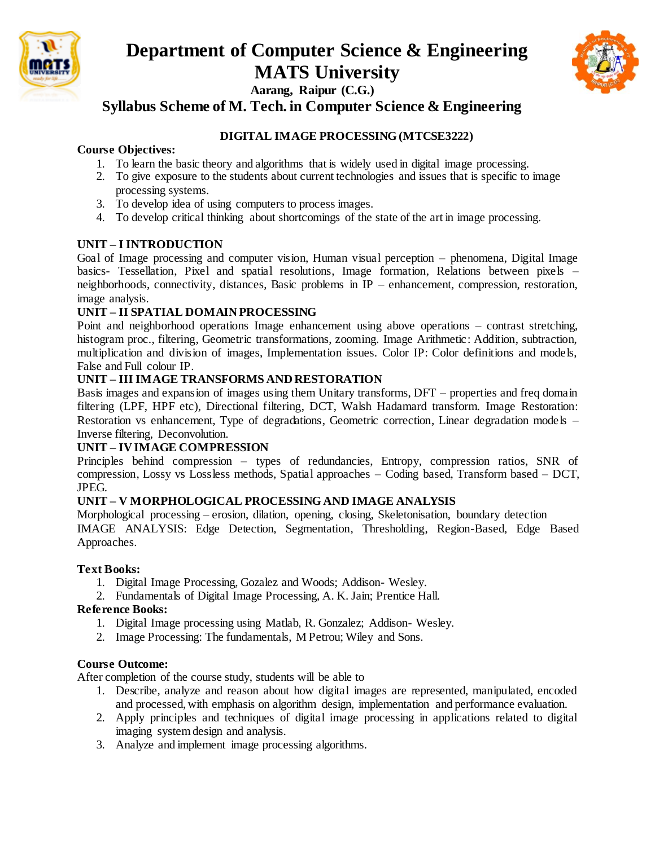



**Syllabus Scheme of M. Tech. in Computer Science & Engineering**

### **DIGITAL IMAGE PROCESSING (MTCSE3222)**

#### **Course Objectives:**

- 1. To learn the basic theory and algorithms that is widely used in digital image processing.
- 2. To give exposure to the students about current technologies and issues that is specific to image processing systems.
- 3. To develop idea of using computers to process images.
- 4. To develop critical thinking about shortcomings of the state of the art in image processing.

#### **UNIT – I INTRODUCTION**

Goal of Image processing and computer vision, Human visual perception – phenomena, Digital Image basics- Tessellation, Pixel and spatial resolutions, Image formation, Relations between pixels – neighborhoods, connectivity, distances, Basic problems in IP – enhancement, compression, restoration, image analysis.

#### **UNIT – II SPATIAL DOMAIN PROCESSING**

Point and neighborhood operations Image enhancement using above operations – contrast stretching, histogram proc., filtering, Geometric transformations, zooming. Image Arithmetic: Addition, subtraction, multiplication and division of images, Implementation issues. Color IP: Color definitions and models, False and Full colour IP.

#### **UNIT – III IMAGE TRANSFORMS AND RESTORATION**

Basis images and expansion of images using them Unitary transforms, DFT – properties and freq domain filtering (LPF, HPF etc), Directional filtering, DCT, Walsh Hadamard transform. Image Restoration: Restoration vs enhancement, Type of degradations, Geometric correction, Linear degradation models – Inverse filtering, Deconvolution.

#### **UNIT – IV IMAGE COMPRESSION**

Principles behind compression – types of redundancies, Entropy, compression ratios, SNR of compression, Lossy vs Lossless methods, Spatial approaches – Coding based, Transform based – DCT, JPEG.

#### **UNIT – V MORPHOLOGICAL PROCESSING AND IMAGE ANALYSIS**

Morphological processing – erosion, dilation, opening, closing, Skeletonisation, boundary detection IMAGE ANALYSIS: Edge Detection, Segmentation, Thresholding, Region-Based, Edge Based Approaches.

#### **Text Books:**

- 1. Digital Image Processing, Gozalez and Woods; Addison- Wesley.
- 2. Fundamentals of Digital Image Processing, A. K. Jain; Prentice Hall.

#### **Reference Books:**

- 1. Digital Image processing using Matlab, R. Gonzalez; Addison- Wesley.
- 2. Image Processing: The fundamentals, M Petrou; Wiley and Sons.

#### **Course Outcome:**

- 1. Describe, analyze and reason about how digital images are represented, manipulated, encoded and processed, with emphasis on algorithm design, implementation and performance evaluation.
- 2. Apply principles and techniques of digital image processing in applications related to digital imaging system design and analysis.
- 3. Analyze and implement image processing algorithms.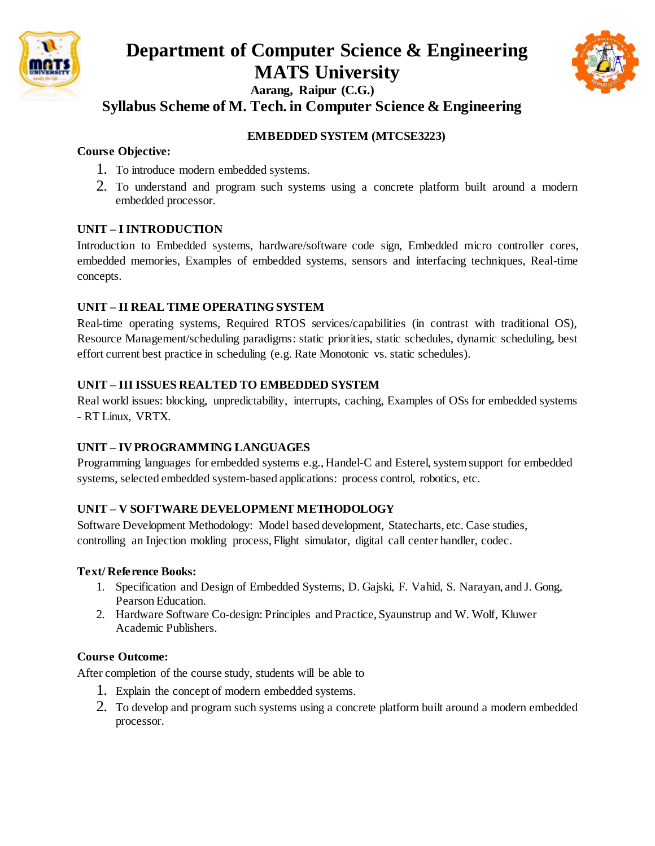



**Syllabus Scheme of M. Tech. in Computer Science & Engineering**

## **EMBEDDED SYSTEM (MTCSE3223)**

## **Course Objective:**

- 1. To introduce modern embedded systems.
- 2. To understand and program such systems using a concrete platform built around a modern embedded processor.

## **UNIT – I INTRODUCTION**

Introduction to Embedded systems, hardware/software code sign, Embedded micro controller cores, embedded memories, Examples of embedded systems, sensors and interfacing techniques, Real-time concepts.

## **UNIT – II REAL TIME OPERATING SYSTEM**

Real-time operating systems, Required RTOS services/capabilities (in contrast with traditional OS), Resource Management/scheduling paradigms: static priorities, static schedules, dynamic scheduling, best effort current best practice in scheduling (e.g. Rate Monotonic vs. static schedules).

## **UNIT – III ISSUES REALTED TO EMBEDDED SYSTEM**

Real world issues: blocking, unpredictability, interrupts, caching, Examples of OSs for embedded systems - RT Linux, VRTX.

## **UNIT – IV PROGRAMMING LANGUAGES**

Programming languages for embedded systems e.g., Handel-C and Esterel, system support for embedded systems, selected embedded system-based applications: process control, robotics, etc.

## **UNIT – V SOFTWARE DEVELOPMENT METHODOLOGY**

Software Development Methodology: Model based development, Statecharts, etc. Case studies, controlling an Injection molding process, Flight simulator, digital call center handler, codec.

## **Text/ Reference Books:**

- 1. Specification and Design of Embedded Systems, D. Gajski, F. Vahid, S. Narayan, and J. Gong, Pearson Education.
- 2. Hardware Software Co-design: Principles and Practice, Syaunstrup and W. Wolf, Kluwer Academic Publishers.

## **Course Outcome:**

- 1. Explain the concept of modern embedded systems.
- 2. To develop and program such systems using a concrete platform built around a modern embedded processor.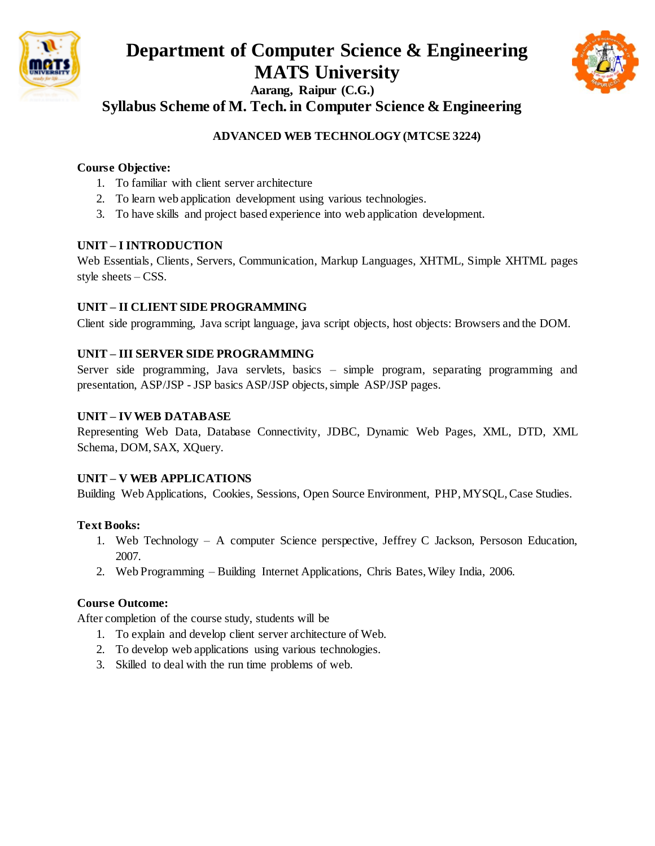



**Syllabus Scheme of M. Tech. in Computer Science & Engineering**

## **ADVANCED WEB TECHNOLOGY (MTCSE 3224)**

#### **Course Objective:**

- 1. To familiar with client server architecture
- 2. To learn web application development using various technologies.
- 3. To have skills and project based experience into web application development.

#### **UNIT – I INTRODUCTION**

Web Essentials, Clients, Servers, Communication, Markup Languages, XHTML, Simple XHTML pages style sheets – CSS.

#### **UNIT – II CLIENT SIDE PROGRAMMING**

Client side programming, Java script language, java script objects, host objects: Browsers and the DOM.

#### **UNIT – III SERVER SIDE PROGRAMMING**

Server side programming, Java servlets, basics – simple program, separating programming and presentation, ASP/JSP - JSP basics ASP/JSP objects, simple ASP/JSP pages.

#### **UNIT – IV WEB DATABASE**

Representing Web Data, Database Connectivity, JDBC, Dynamic Web Pages, XML, DTD, XML Schema, DOM, SAX, XQuery.

#### **UNIT – V WEB APPLICATIONS**

Building Web Applications, Cookies, Sessions, Open Source Environment, PHP, MYSQL, Case Studies.

#### **Text Books:**

- 1. Web Technology A computer Science perspective, Jeffrey C Jackson, Persoson Education, 2007.
- 2. Web Programming Building Internet Applications, Chris Bates, Wiley India, 2006.

#### **Course Outcome:**

- 1. To explain and develop client server architecture of Web.
- 2. To develop web applications using various technologies.
- 3. Skilled to deal with the run time problems of web.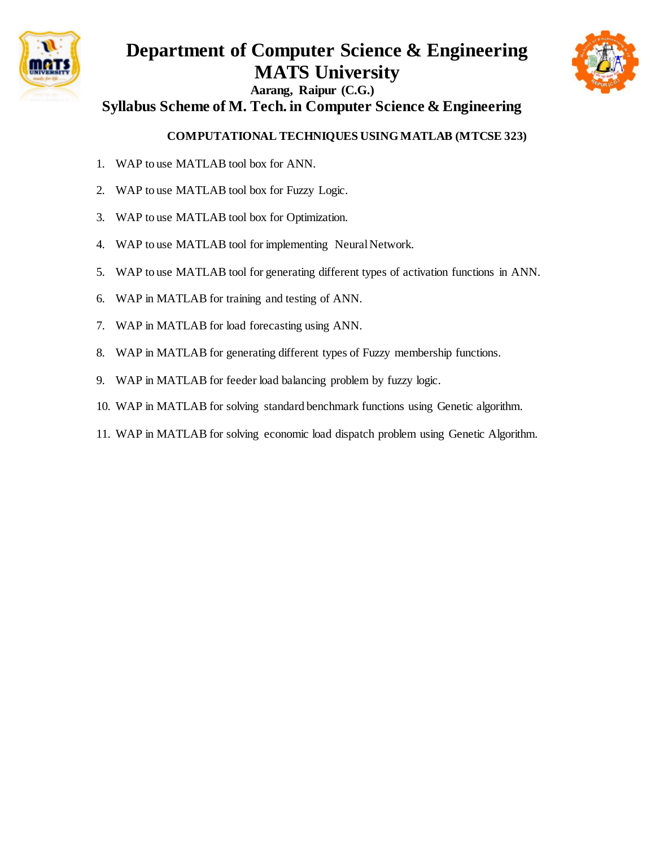



# **Syllabus Scheme of M. Tech. in Computer Science & Engineering**

## **COMPUTATIONAL TECHNIQUES USING MATLAB (MTCSE 323)**

- 1. WAP to use MATLAB tool box for ANN.
- 2. WAP to use MATLAB tool box for Fuzzy Logic.
- 3. WAP to use MATLAB tool box for Optimization.
- 4. WAP to use MATLAB tool for implementing Neural Network.
- 5. WAP to use MATLAB tool for generating different types of activation functions in ANN.
- 6. WAP in MATLAB for training and testing of ANN.
- 7. WAP in MATLAB for load forecasting using ANN.
- 8. WAP in MATLAB for generating different types of Fuzzy membership functions.
- 9. WAP in MATLAB for feeder load balancing problem by fuzzy logic.
- 10. WAP in MATLAB for solving standard benchmark functions using Genetic algorithm.
- 11. WAP in MATLAB for solving economic load dispatch problem using Genetic Algorithm.